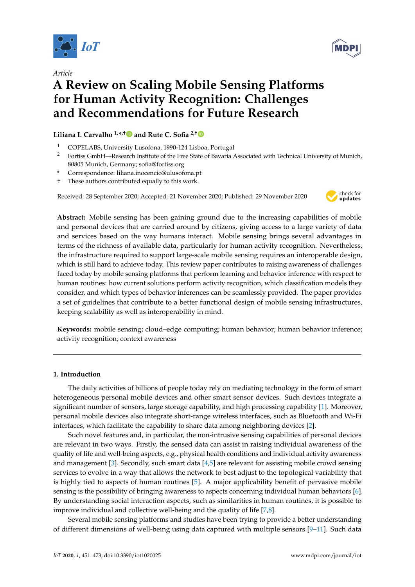

*Article*



# **A Review on Scaling Mobile Sensing Platforms for Human Activity Recognition: Challenges and Recommendations for Future Research**

**Liliana I. Carvalho 1,\* ,[†](https://orcid.org/0000-0002-4535-4465) and Rute C. Sofia 2,[†](https://orcid.org/0000-0002-7455-5872)**

- <sup>1</sup> COPELABS, University Lusofona, 1990-124 Lisboa, Portugal
- <sup>2</sup> Fortiss GmbH—Research Institute of the Free State of Bavaria Associated with Technical University of Munich, 80805 Munich, Germany; sofia@fortiss.org
- **\*** Correspondence: liliana.inocencio@ulusofona.pt
- † These authors contributed equally to this work.

Received: 28 September 2020; Accepted: 21 November 2020; Published: 29 November 2020



**Abstract:** Mobile sensing has been gaining ground due to the increasing capabilities of mobile and personal devices that are carried around by citizens, giving access to a large variety of data and services based on the way humans interact. Mobile sensing brings several advantages in terms of the richness of available data, particularly for human activity recognition. Nevertheless, the infrastructure required to support large-scale mobile sensing requires an interoperable design, which is still hard to achieve today. This review paper contributes to raising awareness of challenges faced today by mobile sensing platforms that perform learning and behavior inference with respect to human routines: how current solutions perform activity recognition, which classification models they consider, and which types of behavior inferences can be seamlessly provided. The paper provides a set of guidelines that contribute to a better functional design of mobile sensing infrastructures, keeping scalability as well as interoperability in mind.

**Keywords:** mobile sensing; cloud–edge computing; human behavior; human behavior inference; activity recognition; context awareness

# <span id="page-0-0"></span>**1. Introduction**

The daily activities of billions of people today rely on mediating technology in the form of smart heterogeneous personal mobile devices and other smart sensor devices. Such devices integrate a significant number of sensors, large storage capability, and high processing capability [\[1\]](#page-15-0). Moreover, personal mobile devices also integrate short-range wireless interfaces, such as Bluetooth and Wi-Fi interfaces, which facilitate the capability to share data among neighboring devices [\[2\]](#page-15-1).

Such novel features and, in particular, the non-intrusive sensing capabilities of personal devices are relevant in two ways. Firstly, the sensed data can assist in raising individual awareness of the quality of life and well-being aspects, e.g., physical health conditions and individual activity awareness and management [\[3\]](#page-15-2). Secondly, such smart data [\[4](#page-15-3)[,5\]](#page-15-4) are relevant for assisting mobile crowd sensing services to evolve in a way that allows the network to best adjust to the topological variability that is highly tied to aspects of human routines [\[5\]](#page-15-4). A major applicability benefit of pervasive mobile sensing is the possibility of bringing awareness to aspects concerning individual human behaviors [\[6\]](#page-15-5). By understanding social interaction aspects, such as similarities in human routines, it is possible to improve individual and collective well-being and the quality of life [\[7,](#page-16-0)[8\]](#page-16-1).

Several mobile sensing platforms and studies have been trying to provide a better understanding of different dimensions of well-being using data captured with multiple sensors [\[9](#page-16-2)[–11\]](#page-16-3). Such data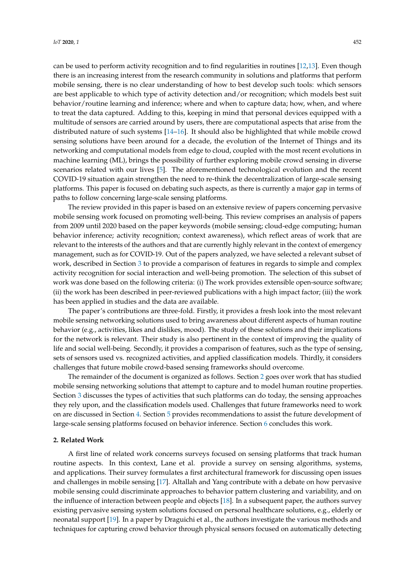can be used to perform activity recognition and to find regularities in routines [\[12](#page-16-4)[,13\]](#page-16-5). Even though there is an increasing interest from the research community in solutions and platforms that perform mobile sensing, there is no clear understanding of how to best develop such tools: which sensors are best applicable to which type of activity detection and/or recognition; which models best suit behavior/routine learning and inference; where and when to capture data; how, when, and where to treat the data captured. Adding to this, keeping in mind that personal devices equipped with a multitude of sensors are carried around by users, there are computational aspects that arise from the distributed nature of such systems [\[14](#page-16-6)[–16\]](#page-16-7). It should also be highlighted that while mobile crowd sensing solutions have been around for a decade, the evolution of the Internet of Things and its networking and computational models from edge to cloud, coupled with the most recent evolutions in machine learning (ML), brings the possibility of further exploring mobile crowd sensing in diverse scenarios related with our lives [\[5\]](#page-15-4). The aforementioned technological evolution and the recent COVID-19 situation again strengthen the need to re-think the decentralization of large-scale sensing platforms. This paper is focused on debating such aspects, as there is currently a major gap in terms of paths to follow concerning large-scale sensing platforms.

The review provided in this paper is based on an extensive review of papers concerning pervasive mobile sensing work focused on promoting well-being. This review comprises an analysis of papers from 2009 until 2020 based on the paper keywords (mobile sensing; cloud-edge computing; human behavior inference; activity recognition; context awareness), which reflect areas of work that are relevant to the interests of the authors and that are currently highly relevant in the context of emergency management, such as for COVID-19. Out of the papers analyzed, we have selected a relevant subset of work, described in Section [3](#page-3-0) to provide a comparison of features in regards to simple and complex activity recognition for social interaction and well-being promotion. The selection of this subset of work was done based on the following criteria: (i) The work provides extensible open-source software; (ii) the work has been described in peer-reviewed publications with a high impact factor; (iii) the work has been applied in studies and the data are available.

The paper's contributions are three-fold. Firstly, it provides a fresh look into the most relevant mobile sensing networking solutions used to bring awareness about different aspects of human routine behavior (e.g., activities, likes and dislikes, mood). The study of these solutions and their implications for the network is relevant. Their study is also pertinent in the context of improving the quality of life and social well-being. Secondly, it provides a comparison of features, such as the type of sensing, sets of sensors used vs. recognized activities, and applied classification models. Thirdly, it considers challenges that future mobile crowd-based sensing frameworks should overcome.

The remainder of the document is organized as follows. Section [2](#page-1-0) goes over work that has studied mobile sensing networking solutions that attempt to capture and to model human routine properties. Section [3](#page-3-0) discusses the types of activities that such platforms can do today, the sensing approaches they rely upon, and the classification models used. Challenges that future frameworks need to work on are discussed in Section [4.](#page-9-0) Section [5](#page-14-0) provides recommendations to assist the future development of large-scale sensing platforms focused on behavior inference. Section [6](#page-15-6) concludes this work.

## <span id="page-1-0"></span>**2. Related Work**

A first line of related work concerns surveys focused on sensing platforms that track human routine aspects. In this context, Lane et al. provide a survey on sensing algorithms, systems, and applications. Their survey formulates a first architectural framework for discussing open issues and challenges in mobile sensing [\[17\]](#page-16-8). Altallah and Yang contribute with a debate on how pervasive mobile sensing could discriminate approaches to behavior pattern clustering and variability, and on the influence of interaction between people and objects [\[18\]](#page-16-9). In a subsequent paper, the authors survey existing pervasive sensing system solutions focused on personal healthcare solutions, e.g., elderly or neonatal support [\[19\]](#page-16-10). In a paper by Draguichi et al., the authors investigate the various methods and techniques for capturing crowd behavior through physical sensors focused on automatically detecting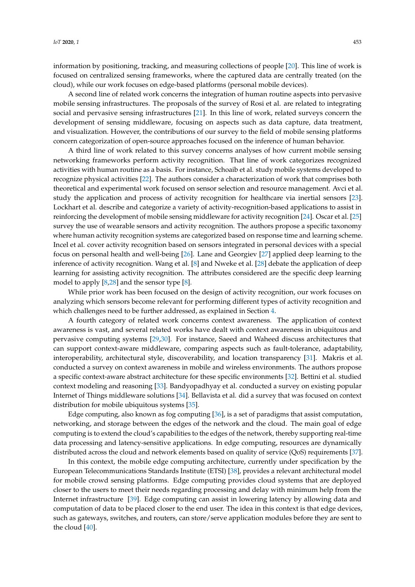information by positioning, tracking, and measuring collections of people [\[20\]](#page-16-11). This line of work is focused on centralized sensing frameworks, where the captured data are centrally treated (on the cloud), while our work focuses on edge-based platforms (personal mobile devices).

A second line of related work concerns the integration of human routine aspects into pervasive mobile sensing infrastructures. The proposals of the survey of Rosi et al. are related to integrating social and pervasive sensing infrastructures [\[21\]](#page-16-12). In this line of work, related surveys concern the development of sensing middleware, focusing on aspects such as data capture, data treatment, and visualization. However, the contributions of our survey to the field of mobile sensing platforms concern categorization of open-source approaches focused on the inference of human behavior.

A third line of work related to this survey concerns analyses of how current mobile sensing networking frameworks perform activity recognition. That line of work categorizes recognized activities with human routine as a basis. For instance, Schoaib et al. study mobile systems developed to recognize physical activities [\[22\]](#page-16-13). The authors consider a characterization of work that comprises both theoretical and experimental work focused on sensor selection and resource management. Avci et al. study the application and process of activity recognition for healthcare via inertial sensors [\[23\]](#page-16-14). Lockhart et al. describe and categorize a variety of activity-recognition-based applications to assist in reinforcing the development of mobile sensing middleware for activity recognition [\[24\]](#page-16-15). Oscar et al. [\[25\]](#page-16-16) survey the use of wearable sensors and activity recognition. The authors propose a specific taxonomy where human activity recognition systems are categorized based on response time and learning scheme. Incel et al. cover activity recognition based on sensors integrated in personal devices with a special focus on personal health and well-being [\[26\]](#page-16-17). Lane and Georgiev [\[27\]](#page-16-18) applied deep learning to the inference of activity recognition. Wang et al. [\[8\]](#page-16-1) and Nweke et al. [\[28\]](#page-17-0) debate the application of deep learning for assisting activity recognition. The attributes considered are the specific deep learning model to apply [\[8](#page-16-1)[,28\]](#page-17-0) and the sensor type [\[8\]](#page-16-1).

While prior work has been focused on the design of activity recognition, our work focuses on analyzing which sensors become relevant for performing different types of activity recognition and which challenges need to be further addressed, as explained in Section [4.](#page-9-0)

A fourth category of related work concerns context awareness. The application of context awareness is vast, and several related works have dealt with context awareness in ubiquitous and pervasive computing systems [\[29](#page-17-1)[,30\]](#page-17-2). For instance, Saeed and Waheed discuss architectures that can support context-aware middleware, comparing aspects such as fault-tolerance, adaptability, interoperability, architectural style, discoverability, and location transparency [\[31\]](#page-17-3). Makris et al. conducted a survey on context awareness in mobile and wireless environments. The authors propose a specific context-aware abstract architecture for these specific environments [\[32\]](#page-17-4). Bettini et al. studied context modeling and reasoning [\[33\]](#page-17-5). Bandyopadhyay et al. conducted a survey on existing popular Internet of Things middleware solutions [\[34\]](#page-17-6). Bellavista et al. did a survey that was focused on context distribution for mobile ubiquitous systems [\[35\]](#page-17-7).

Edge computing, also known as fog computing [\[36\]](#page-17-8), is a set of paradigms that assist computation, networking, and storage between the edges of the network and the cloud. The main goal of edge computing is to extend the cloud's capabilities to the edges of the network, thereby supporting real-time data processing and latency-sensitive applications. In edge computing, resources are dynamically distributed across the cloud and network elements based on quality of service (QoS) requirements [\[37\]](#page-17-9).

In this context, the mobile edge computing architecture, currently under specification by the European Telecommunications Standards Institute (ETSI) [\[38\]](#page-17-10), provides a relevant architectural model for mobile crowd sensing platforms. Edge computing provides cloud systems that are deployed closer to the users to meet their needs regarding processing and delay with minimum help from the Internet infrastructure [\[39\]](#page-17-11). Edge computing can assist in lowering latency by allowing data and computation of data to be placed closer to the end user. The idea in this context is that edge devices, such as gateways, switches, and routers, can store/serve application modules before they are sent to the cloud [\[40\]](#page-17-12).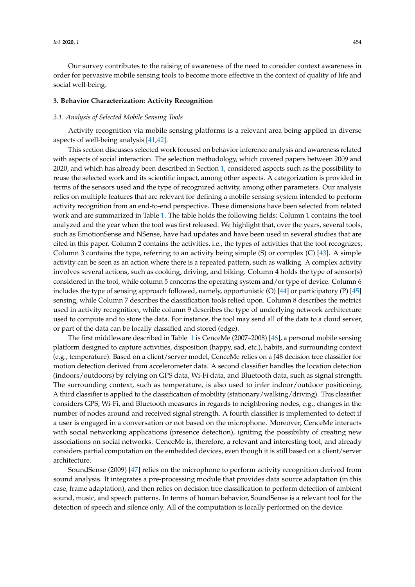Our survey contributes to the raising of awareness of the need to consider context awareness in order for pervasive mobile sensing tools to become more effective in the context of quality of life and social well-being.

#### <span id="page-3-0"></span>**3. Behavior Characterization: Activity Recognition**

## <span id="page-3-1"></span>*3.1. Analysis of Selected Mobile Sensing Tools*

Activity recognition via mobile sensing platforms is a relevant area being applied in diverse aspects of well-being analysis [\[41,](#page-17-13)[42\]](#page-17-14).

This section discusses selected work focused on behavior inference analysis and awareness related with aspects of social interaction. The selection methodology, which covered papers between 2009 and 2020, and which has already been described in Section [1,](#page-0-0) considered aspects such as the possibility to reuse the selected work and its scientific impact, among other aspects. A categorization is provided in terms of the sensors used and the type of recognized activity, among other parameters. Our analysis relies on multiple features that are relevant for defining a mobile sensing system intended to perform activity recognition from an end-to-end perspective. These dimensions have been selected from related work and are summarized in Table [1.](#page-4-0) The table holds the following fields: Column 1 contains the tool analyzed and the year when the tool was first released. We highlight that, over the years, several tools, such as EmotionSense and NSense, have had updates and have been used in several studies that are cited in this paper. Column 2 contains the activities, i.e., the types of activities that the tool recognizes; Column 3 contains the type, referring to an activity being simple (S) or complex (C) [\[43\]](#page-17-15). A simple activity can be seen as an action where there is a repeated pattern, such as walking. A complex activity involves several actions, such as cooking, driving, and biking. Column 4 holds the type of sensor(s) considered in the tool, while column 5 concerns the operating system and/or type of device. Column 6 includes the type of sensing approach followed, namely, opportunistic (O) [\[44\]](#page-17-16) or participatory (P) [\[45\]](#page-17-17) sensing, while Column 7 describes the classification tools relied upon. Column 8 describes the metrics used in activity recognition, while column 9 describes the type of underlying network architecture used to compute and to store the data. For instance, the tool may send all of the data to a cloud server, or part of the data can be locally classified and stored (edge).

The first middleware described in Table [1](#page-4-0) is CenceMe (2007–2008) [\[46\]](#page-17-18), a personal mobile sensing platform designed to capture activities, disposition (happy, sad, etc.), habits, and surrounding context (e.g., temperature). Based on a client/server model, CenceMe relies on a J48 decision tree classifier for motion detection derived from accelerometer data. A second classifier handles the location detection (indoors/outdoors) by relying on GPS data, Wi-Fi data, and Bluetooth data, such as signal strength. The surrounding context, such as temperature, is also used to infer indoor/outdoor positioning. A third classifier is applied to the classification of mobility (stationary/walking/driving). This classifier considers GPS, Wi-Fi, and Bluetooth measures in regards to neighboring nodes, e.g., changes in the number of nodes around and received signal strength. A fourth classifier is implemented to detect if a user is engaged in a conversation or not based on the microphone. Moreover, CenceMe interacts with social networking applications (presence detection), igniting the possibility of creating new associations on social networks. CenceMe is, therefore, a relevant and interesting tool, and already considers partial computation on the embedded devices, even though it is still based on a client/server architecture.

SoundSense (2009) [\[47\]](#page-17-19) relies on the microphone to perform activity recognition derived from sound analysis. It integrates a pre-processing module that provides data source adaptation (in this case, frame adaptation), and then relies on decision tree classification to perform detection of ambient sound, music, and speech patterns. In terms of human behavior, SoundSense is a relevant tool for the detection of speech and silence only. All of the computation is locally performed on the device.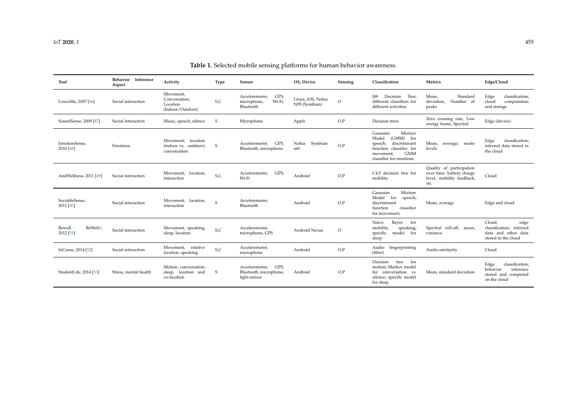<span id="page-4-0"></span>

| <b>Tool</b>                     | Behavior Inference<br>Aspect | Activity                                                    | Type          | Sensor                                                           | OS, Device                         | Sensing | Classification                                                                                                                                        | Metrics                                                                                    | Edge/Cloud                                                                               |
|---------------------------------|------------------------------|-------------------------------------------------------------|---------------|------------------------------------------------------------------|------------------------------------|---------|-------------------------------------------------------------------------------------------------------------------------------------------------------|--------------------------------------------------------------------------------------------|------------------------------------------------------------------------------------------|
| CenceMe, 2007 [46]              | Social interaction           | Movement,<br>Conversation,<br>Location<br>(Indoor/Outdoor)  | S,C           | Accelerometer,<br>GPS,<br>Wi-Fi,<br>microphone,<br>Bluetooth     | Linux, iOS, Nokia<br>N95 (Symbian) | $\circ$ | <b>I48</b><br>Decision<br>Tree;<br>different classifiers for<br>different activities                                                                  | Mean,<br>Standard<br>deviation.<br>Number of<br>peaks                                      | Edge<br>classification;<br>cloud<br>computation<br>and storage                           |
| SoundSense, 2009 [47]           | Social interaction           | Music, speech, silence                                      | S             | Microphone                                                       | Apple                              | O.P     | Decision trees                                                                                                                                        | Zero crossing rate, Low<br>energy frame, Spectral                                          | Edge (device)                                                                            |
| EmotionSense.<br>2010 [48]      | Emotions                     | Movement: location<br>(indoor vs. outdoor);<br>conversation | S             | Accelerometer.<br>GPS.<br>Bluetooth, microphone                  | Nokia<br>Symbian<br>s60            | O.P     | Gaussian<br>Mixture<br>Model<br>(GMM) for<br>speech;<br>discriminant<br>function classifier for<br><b>GMM</b><br>movement;<br>classifier for emotions | Mean, average; mode<br>levels                                                              | classification:<br>Edge<br>inferred data stored in<br>the cloud                          |
| AndWellness, 2011 [49]          | Social interaction           | Movement, location,<br>interaction                          | S,C           | GPS,<br>Accelerometer.<br>Wi-Fi                                  | Android                            | O.P     | C4.5 decision tree for<br>mobility                                                                                                                    | Quality of participation<br>over time: battery charge<br>level, mobility feedback,<br>etc. | Cloud                                                                                    |
| SociableSense,<br>2011 [50]     | Social interaction           | Movement, location,<br>interaction                          | $\mathcal{S}$ | Accelerometer,<br>Bluetooth                                      | Android                            | O.P     | Mixture<br>Gaussian<br>Model<br>for<br>speech;<br>discriminant<br>classifier<br>function<br>for movement;                                             | Mean, average                                                                              | Edge and cloud                                                                           |
| BeWell+,<br>Bewell<br>2012 [51] | Social interaction           | Movement, speaking,<br>sleep, location                      | S,C           | Accelerometer.<br>microphone, GPS                                | Android Nexus                      | $\circ$ | Bayes<br>Naive<br>for<br>mobility,<br>speaking;<br>specific<br>for<br>model<br>sleep                                                                  | Spectral roll-off, mean,<br>variance                                                       | Cloud,<br>edge<br>classification: inferred<br>data and other data<br>stored in the cloud |
| InCense, 2014 [52]              | Social interaction           | Movement, relative<br>location, speaking                    | S,C           | Accelerometer,<br>microphone                                     | Android                            | O.P     | fingerprinting<br>Audio<br>(filter)                                                                                                                   | Audio similarity                                                                           | Cloud                                                                                    |
| StudentLife, 2014 [53]          | Stress, mental health        | Motion, conversation.<br>sleep, location and<br>co-location | S             | Accelerometer.<br>GPS,<br>Bluetooth, microphone,<br>light sensor | Android                            | O, P    | Decision<br>tree<br>for<br>motion: Markov model<br>for conversation vs.<br>silence; specific model<br>for sleep                                       | Mean, standard deviation                                                                   | classification:<br>Edge<br>behavior<br>inference<br>stored and computed<br>on the cloud  |

**Table 1.** Selected mobile sensing platforms for human behavior awareness.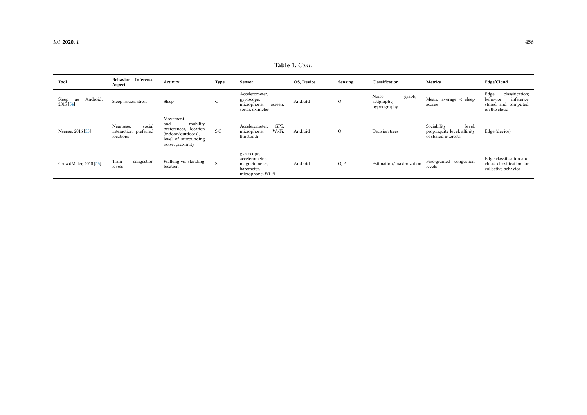| <b>Tool</b>                          | Behavior<br>Inference<br>Aspect                            | Activity                                                                                                               | <b>Type</b> | Sensor                                                                           | OS, Device | Sensing | Classification                                | Metrics                                                                     | Edge/Cloud                                                                              |
|--------------------------------------|------------------------------------------------------------|------------------------------------------------------------------------------------------------------------------------|-------------|----------------------------------------------------------------------------------|------------|---------|-----------------------------------------------|-----------------------------------------------------------------------------|-----------------------------------------------------------------------------------------|
| Sleep<br>Android,<br>as<br>2015 [54] | Sleep issues, stress                                       | Sleep                                                                                                                  | $\sim$      | Accelerometer,<br>gyroscope,<br>microphone,<br>screen,<br>sonar, oximeter        | Android    | $\circ$ | Noise<br>graph,<br>actigraphy,<br>hypnography | Mean, average < sleep<br>scores                                             | Edge<br>classification;<br>inference<br>behavior<br>stored and computed<br>on the cloud |
| Nsense, 2016 [55]                    | social<br>Nearness,<br>interaction, preferred<br>locations | Movement<br>mobility<br>and<br>preferences, location<br>(indoor/outdoors),<br>level of surrounding<br>noise, proximity | S,C         | GPS,<br>Accelerometer,<br>Wi-Fi,<br>microphone,<br>Bluetooth                     | Android    | $\circ$ | Decision trees                                | Sociability<br>level,<br>propinquity level, affinity<br>of shared interests | Edge (device)                                                                           |
| CrowdMeter, 2018 [56]                | Train<br>congestion<br>levels                              | Walking vs. standing,<br>location                                                                                      | S           | gyroscope,<br>accelerometer,<br>magnetometer,<br>barometer,<br>microphone, Wi-Fi | Android    | O, P    | Estimation/maximization                       | Fine-grained congestion<br>levels                                           | Edge classification and<br>cloud classification for<br>collective behavior              |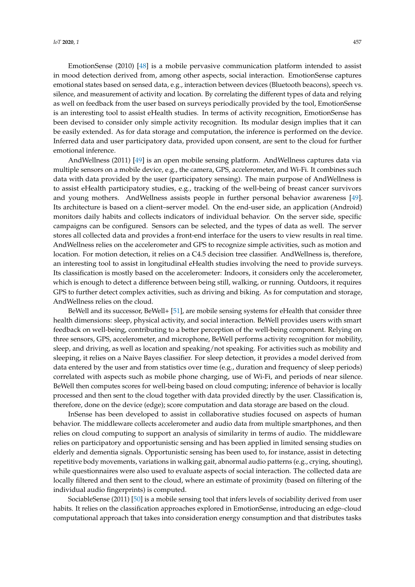EmotionSense (2010) [\[48\]](#page-17-23) is a mobile pervasive communication platform intended to assist in mood detection derived from, among other aspects, social interaction. EmotionSense captures emotional states based on sensed data, e.g., interaction between devices (Bluetooth beacons), speech vs. silence, and measurement of activity and location. By correlating the different types of data and relying as well on feedback from the user based on surveys periodically provided by the tool, EmotionSense is an interesting tool to assist eHealth studies. In terms of activity recognition, EmotionSense has been devised to consider only simple activity recognition. Its modular design implies that it can be easily extended. As for data storage and computation, the inference is performed on the device. Inferred data and user participatory data, provided upon consent, are sent to the cloud for further emotional inference.

AndWellness (2011) [\[49\]](#page-18-8) is an open mobile sensing platform. AndWellness captures data via multiple sensors on a mobile device, e.g., the camera, GPS, accelerometer, and Wi-Fi. It combines such data with data provided by the user (participatory sensing). The main purpose of AndWellness is to assist eHealth participatory studies, e.g., tracking of the well-being of breast cancer survivors and young mothers. AndWellness assists people in further personal behavior awareness [\[49\]](#page-18-8). Its architecture is based on a client–server model. On the end-user side, an application (Android) monitors daily habits and collects indicators of individual behavior. On the server side, specific campaigns can be configured. Sensors can be selected, and the types of data as well. The server stores all collected data and provides a front-end interface for the users to view results in real time. AndWellness relies on the accelerometer and GPS to recognize simple activities, such as motion and location. For motion detection, it relies on a C4.5 decision tree classifier. AndWellness is, therefore, an interesting tool to assist in longitudinal eHealth studies involving the need to provide surveys. Its classification is mostly based on the accelerometer: Indoors, it considers only the accelerometer, which is enough to detect a difference between being still, walking, or running. Outdoors, it requires GPS to further detect complex activities, such as driving and biking. As for computation and storage, AndWellness relies on the cloud.

BeWell and its successor, BeWell+ [\[51\]](#page-18-9), are mobile sensing systems for eHealth that consider three health dimensions: sleep, physical activity, and social interaction. BeWell provides users with smart feedback on well-being, contributing to a better perception of the well-being component. Relying on three sensors, GPS, accelerometer, and microphone, BeWell performs activity recognition for mobility, sleep, and driving, as well as location and speaking/not speaking. For activities such as mobility and sleeping, it relies on a Naive Bayes classifier. For sleep detection, it provides a model derived from data entered by the user and from statistics over time (e.g., duration and frequency of sleep periods) correlated with aspects such as mobile phone charging, use of Wi-Fi, and periods of near silence. BeWell then computes scores for well-being based on cloud computing; inference of behavior is locally processed and then sent to the cloud together with data provided directly by the user. Classification is, therefore, done on the device (edge); score computation and data storage are based on the cloud.

InSense has been developed to assist in collaborative studies focused on aspects of human behavior. The middleware collects accelerometer and audio data from multiple smartphones, and then relies on cloud computing to support an analysis of similarity in terms of audio. The middleware relies on participatory and opportunistic sensing and has been applied in limited sensing studies on elderly and dementia signals. Opportunistic sensing has been used to, for instance, assist in detecting repetitive body movements, variations in walking gait, abnormal audio patterns (e.g., crying, shouting), while questionnaires were also used to evaluate aspects of social interaction. The collected data are locally filtered and then sent to the cloud, where an estimate of proximity (based on filtering of the individual audio fingerprints) is computed.

SociableSense (2011) [\[50\]](#page-18-10) is a mobile sensing tool that infers levels of sociability derived from user habits. It relies on the classification approaches explored in EmotionSense, introducing an edge–cloud computational approach that takes into consideration energy consumption and that distributes tasks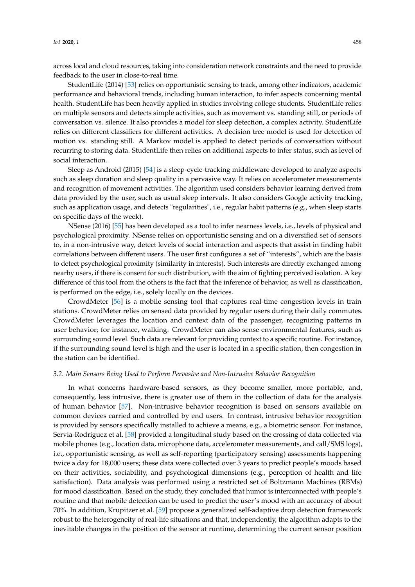across local and cloud resources, taking into consideration network constraints and the need to provide feedback to the user in close-to-real time.

StudentLife (2014) [\[53\]](#page-18-11) relies on opportunistic sensing to track, among other indicators, academic performance and behavioral trends, including human interaction, to infer aspects concerning mental health. StudentLife has been heavily applied in studies involving college students. StudentLife relies on multiple sensors and detects simple activities, such as movement vs. standing still, or periods of conversation vs. silence. It also provides a model for sleep detection, a complex activity. StudentLife relies on different classifiers for different activities. A decision tree model is used for detection of motion vs. standing still. A Markov model is applied to detect periods of conversation without recurring to storing data. StudentLife then relies on additional aspects to infer status, such as level of social interaction.

Sleep as Android (2015) [\[54\]](#page-18-12) is a sleep-cycle-tracking middleware developed to analyze aspects such as sleep duration and sleep quality in a pervasive way. It relies on accelerometer measurements and recognition of movement activities. The algorithm used considers behavior learning derived from data provided by the user, such as usual sleep intervals. It also considers Google activity tracking, such as application usage, and detects "regularities", i.e., regular habit patterns (e.g., when sleep starts on specific days of the week).

NSense (2016) [\[55\]](#page-18-13) has been developed as a tool to infer nearness levels, i.e., levels of physical and psychological proximity. NSense relies on opportunistic sensing and on a diversified set of sensors to, in a non-intrusive way, detect levels of social interaction and aspects that assist in finding habit correlations between different users. The user first configures a set of "interests", which are the basis to detect psychological proximity (similarity in interests). Such interests are directly exchanged among nearby users, if there is consent for such distribution, with the aim of fighting perceived isolation. A key difference of this tool from the others is the fact that the inference of behavior, as well as classification, is performed on the edge, i.e., solely locally on the devices.

CrowdMeter [\[56\]](#page-18-14) is a mobile sensing tool that captures real-time congestion levels in train stations. CrowdMeter relies on sensed data provided by regular users during their daily commutes. CrowdMeter leverages the location and context data of the passenger, recognizing patterns in user behavior; for instance, walking. CrowdMeter can also sense environmental features, such as surrounding sound level. Such data are relevant for providing context to a specific routine. For instance, if the surrounding sound level is high and the user is located in a specific station, then congestion in the station can be identified.

## *3.2. Main Sensors Being Used to Perform Pervasive and Non-Intrusive Behavior Recognition*

In what concerns hardware-based sensors, as they become smaller, more portable, and, consequently, less intrusive, there is greater use of them in the collection of data for the analysis of human behavior [\[57\]](#page-18-15). Non-intrusive behavior recognition is based on sensors available on common devices carried and controlled by end users. In contrast, intrusive behavior recognition is provided by sensors specifically installed to achieve a means, e.g., a biometric sensor. For instance, Servia-Rodriguez et al. [\[58\]](#page-18-16) provided a longitudinal study based on the crossing of data collected via mobile phones (e.g., location data, microphone data, accelerometer measurements, and call/SMS logs), i.e., opportunistic sensing, as well as self-reporting (participatory sensing) assessments happening twice a day for 18,000 users; these data were collected over 3 years to predict people's moods based on their activities, sociability, and psychological dimensions (e.g., perception of health and life satisfaction). Data analysis was performed using a restricted set of Boltzmann Machines (RBMs) for mood classification. Based on the study, they concluded that humor is interconnected with people's routine and that mobile detection can be used to predict the user's mood with an accuracy of about 70%. In addition, Krupitzer et al. [\[59\]](#page-18-17) propose a generalized self-adaptive drop detection framework robust to the heterogeneity of real-life situations and that, independently, the algorithm adapts to the inevitable changes in the position of the sensor at runtime, determining the current sensor position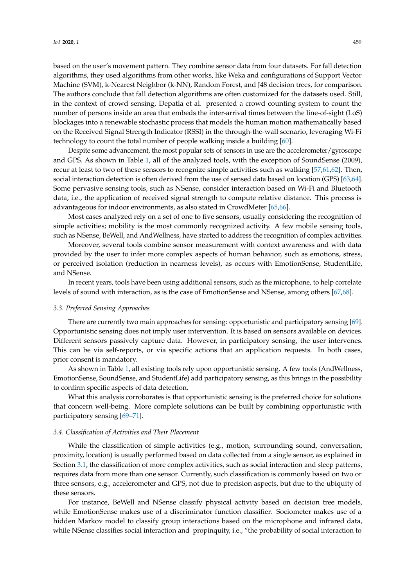based on the user's movement pattern. They combine sensor data from four datasets. For fall detection algorithms, they used algorithms from other works, like Weka and configurations of Support Vector Machine (SVM), k-Nearest Neighbor (k-NN), Random Forest, and J48 decision trees, for comparison. The authors conclude that fall detection algorithms are often customized for the datasets used. Still, in the context of crowd sensing, Depatla et al. presented a crowd counting system to count the number of persons inside an area that embeds the inter-arrival times between the line-of-sight (LoS) blockages into a renewable stochastic process that models the human motion mathematically based on the Received Signal Strength Indicator (RSSI) in the through-the-wall scenario, leveraging Wi-Fi technology to count the total number of people walking inside a building [\[60\]](#page-18-18).

Despite some advancement, the most popular sets of sensors in use are the accelerometer/gyroscope and GPS. As shown in Table [1,](#page-4-0) all of the analyzed tools, with the exception of SoundSense (2009), recur at least to two of these sensors to recognize simple activities such as walking [\[57](#page-18-15)[,61,](#page-18-19)[62\]](#page-18-20). Then, social interaction detection is often derived from the use of sensed data based on location (GPS) [\[63](#page-18-21)[,64\]](#page-18-22). Some pervasive sensing tools, such as NSense, consider interaction based on Wi-Fi and Bluetooth data, i.e., the application of received signal strength to compute relative distance. This process is advantageous for indoor environments, as also stated in CrowdMeter [\[65](#page-18-23)[,66\]](#page-19-0).

Most cases analyzed rely on a set of one to five sensors, usually considering the recognition of simple activities; mobility is the most commonly recognized activity. A few mobile sensing tools, such as NSense, BeWell, and AndWellness, have started to address the recognition of complex activities.

Moreover, several tools combine sensor measurement with context awareness and with data provided by the user to infer more complex aspects of human behavior, such as emotions, stress, or perceived isolation (reduction in nearness levels), as occurs with EmotionSense, StudentLife, and NSense.

In recent years, tools have been using additional sensors, such as the microphone, to help correlate levels of sound with interaction, as is the case of EmotionSense and NSense, among others [\[67,](#page-19-1)[68\]](#page-19-2).

## *3.3. Preferred Sensing Approaches*

There are currently two main approaches for sensing: opportunistic and participatory sensing [\[69\]](#page-19-3). Opportunistic sensing does not imply user intervention. It is based on sensors available on devices. Different sensors passively capture data. However, in participatory sensing, the user intervenes. This can be via self-reports, or via specific actions that an application requests. In both cases, prior consent is mandatory.

As shown in Table [1,](#page-4-0) all existing tools rely upon opportunistic sensing. A few tools (AndWellness, EmotionSense, SoundSense, and StudentLife) add participatory sensing, as this brings in the possibility to confirm specific aspects of data detection.

What this analysis corroborates is that opportunistic sensing is the preferred choice for solutions that concern well-being. More complete solutions can be built by combining opportunistic with participatory sensing [\[69](#page-19-3)[–71\]](#page-19-4).

## *3.4. Classification of Activities and Their Placement*

While the classification of simple activities (e.g., motion, surrounding sound, conversation, proximity, location) is usually performed based on data collected from a single sensor, as explained in Section [3.1,](#page-3-1) the classification of more complex activities, such as social interaction and sleep patterns, requires data from more than one sensor. Currently, such classification is commonly based on two or three sensors, e.g., accelerometer and GPS, not due to precision aspects, but due to the ubiquity of these sensors.

For instance, BeWell and NSense classify physical activity based on decision tree models, while EmotionSense makes use of a discriminator function classifier. Sociometer makes use of a hidden Markov model to classify group interactions based on the microphone and infrared data, while NSense classifies social interaction and propinquity, i.e., "the probability of social interaction to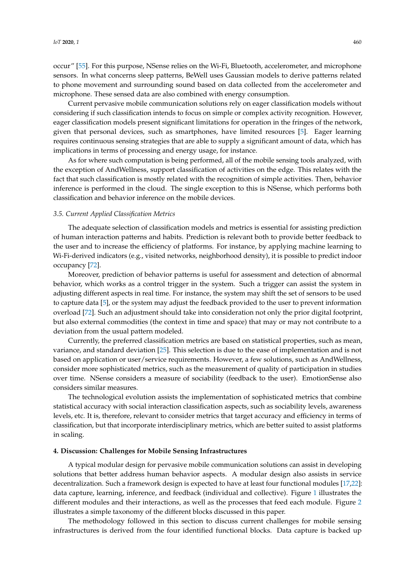occur" [\[55\]](#page-18-13). For this purpose, NSense relies on the Wi-Fi, Bluetooth, accelerometer, and microphone sensors. In what concerns sleep patterns, BeWell uses Gaussian models to derive patterns related to phone movement and surrounding sound based on data collected from the accelerometer and microphone. These sensed data are also combined with energy consumption.

Current pervasive mobile communication solutions rely on eager classification models without considering if such classification intends to focus on simple or complex activity recognition. However, eager classification models present significant limitations for operation in the fringes of the network, given that personal devices, such as smartphones, have limited resources [\[5\]](#page-15-4). Eager learning requires continuous sensing strategies that are able to supply a significant amount of data, which has implications in terms of processing and energy usage, for instance.

As for where such computation is being performed, all of the mobile sensing tools analyzed, with the exception of AndWellness, support classification of activities on the edge. This relates with the fact that such classification is mostly related with the recognition of simple activities. Then, behavior inference is performed in the cloud. The single exception to this is NSense, which performs both classification and behavior inference on the mobile devices.

#### *3.5. Current Applied Classification Metrics*

The adequate selection of classification models and metrics is essential for assisting prediction of human interaction patterns and habits. Prediction is relevant both to provide better feedback to the user and to increase the efficiency of platforms. For instance, by applying machine learning to Wi-Fi-derived indicators (e.g., visited networks, neighborhood density), it is possible to predict indoor occupancy [\[72\]](#page-19-5).

Moreover, prediction of behavior patterns is useful for assessment and detection of abnormal behavior, which works as a control trigger in the system. Such a trigger can assist the system in adjusting different aspects in real time. For instance, the system may shift the set of sensors to be used to capture data [\[5\]](#page-15-4), or the system may adjust the feedback provided to the user to prevent information overload [\[72\]](#page-19-5). Such an adjustment should take into consideration not only the prior digital footprint, but also external commodities (the context in time and space) that may or may not contribute to a deviation from the usual pattern modeled.

Currently, the preferred classification metrics are based on statistical properties, such as mean, variance, and standard deviation [\[25\]](#page-16-16). This selection is due to the ease of implementation and is not based on application or user/service requirements. However, a few solutions, such as AndWellness, consider more sophisticated metrics, such as the measurement of quality of participation in studies over time. NSense considers a measure of sociability (feedback to the user). EmotionSense also considers similar measures.

The technological evolution assists the implementation of sophisticated metrics that combine statistical accuracy with social interaction classification aspects, such as sociability levels, awareness levels, etc. It is, therefore, relevant to consider metrics that target accuracy and efficiency in terms of classification, but that incorporate interdisciplinary metrics, which are better suited to assist platforms in scaling.

#### <span id="page-9-0"></span>**4. Discussion: Challenges for Mobile Sensing Infrastructures**

A typical modular design for pervasive mobile communication solutions can assist in developing solutions that better address human behavior aspects. A modular design also assists in service decentralization. Such a framework design is expected to have at least four functional modules [\[17](#page-16-8)[,22\]](#page-16-13): data capture, learning, inference, and feedback (individual and collective). Figure [1](#page-10-0) illustrates the different modules and their interactions, as well as the processes that feed each module. Figure [2](#page-10-1) illustrates a simple taxonomy of the different blocks discussed in this paper.

The methodology followed in this section to discuss current challenges for mobile sensing infrastructures is derived from the four identified functional blocks. Data capture is backed up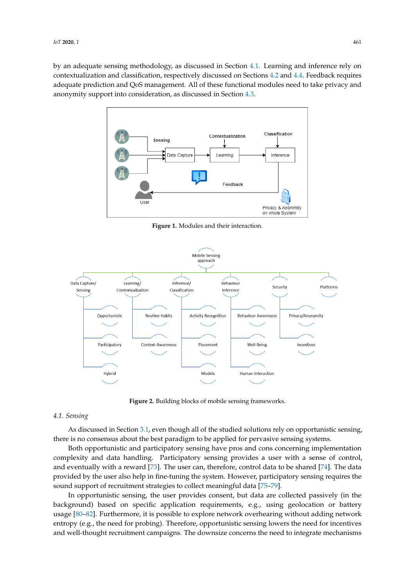<span id="page-10-0"></span>by an adequate sensing methodology, as discussed in Section [4.1.](#page-10-2) Learning and inference rely on contextualization and classification, respectively discussed on Sections [4.2](#page-11-0) and [4.4.](#page-12-0) Feedback requires adequate prediction and QoS management. All of these functional modules need to take privacy and anonymity support into consideration, as discussed in Section [4.3.](#page-11-1)



**Figure 1.** Modules and their interaction.

<span id="page-10-1"></span>

**Figure 2.** Building blocks of mobile sensing frameworks.

## <span id="page-10-2"></span>*4.1. Sensing*

As discussed in Section [3.1,](#page-3-1) even though all of the studied solutions rely on opportunistic sensing, there is no consensus about the best paradigm to be applied for pervasive sensing systems.

Both opportunistic and participatory sensing have pros and cons concerning implementation complexity and data handling. Participatory sensing provides a user with a sense of control, and eventually with a reward [\[73\]](#page-19-6). The user can, therefore, control data to be shared [\[74\]](#page-19-7). The data provided by the user also help in fine-tuning the system. However, participatory sensing requires the sound support of recruitment strategies to collect meaningful data [\[75–](#page-19-8)[79\]](#page-19-9).

In opportunistic sensing, the user provides consent, but data are collected passively (in the background) based on specific application requirements, e.g., using geolocation or battery usage [\[80](#page-19-10)[–82\]](#page-19-11). Furthermore, it is possible to explore network overhearing without adding network entropy (e.g., the need for probing). Therefore, opportunistic sensing lowers the need for incentives and well-thought recruitment campaigns. The downsize concerns the need to integrate mechanisms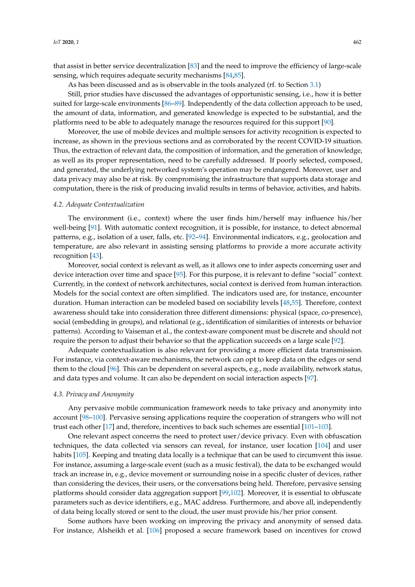that assist in better service decentralization [\[83\]](#page-19-12) and the need to improve the efficiency of large-scale sensing, which requires adequate security mechanisms [\[84,](#page-19-13)[85\]](#page-19-14).

As has been discussed and as is observable in the tools analyzed (rf. to Section [3.1\)](#page-3-1)

Still, prior studies have discussed the advantages of opportunistic sensing, i.e., how it is better suited for large-scale environments [\[86–](#page-20-0)[89\]](#page-20-1). Independently of the data collection approach to be used, the amount of data, information, and generated knowledge is expected to be substantial, and the platforms need to be able to adequately manage the resources required for this support [\[90\]](#page-20-2).

Moreover, the use of mobile devices and multiple sensors for activity recognition is expected to increase, as shown in the previous sections and as corroborated by the recent COVID-19 situation. Thus, the extraction of relevant data, the composition of information, and the generation of knowledge, as well as its proper representation, need to be carefully addressed. If poorly selected, composed, and generated, the underlying networked system's operation may be endangered. Moreover, user and data privacy may also be at risk. By compromising the infrastructure that supports data storage and computation, there is the risk of producing invalid results in terms of behavior, activities, and habits.

#### <span id="page-11-0"></span>*4.2. Adequate Contextualization*

The environment (i.e., context) where the user finds him/herself may influence his/her well-being [\[91\]](#page-20-3). With automatic context recognition, it is possible, for instance, to detect abnormal patterns, e.g., isolation of a user, falls, etc. [\[92](#page-20-4)-94]. Environmental indicators, e.g., geolocation and temperature, are also relevant in assisting sensing platforms to provide a more accurate activity recognition [\[43\]](#page-17-15).

Moreover, social context is relevant as well, as it allows one to infer aspects concerning user and device interaction over time and space [\[95\]](#page-20-6). For this purpose, it is relevant to define "social" context. Currently, in the context of network architectures, social context is derived from human interaction. Models for the social context are often simplified. The indicators used are, for instance, encounter duration. Human interaction can be modeled based on sociability levels [\[48](#page-17-23)[,55\]](#page-18-13). Therefore, context awareness should take into consideration three different dimensions: physical (space, co-presence), social (embedding in groups), and relational (e.g., identification of similarities of interests or behavior patterns). According to Vaiseman et al., the context-aware component must be discrete and should not require the person to adjust their behavior so that the application succeeds on a large scale [\[92\]](#page-20-4).

Adequate contextualization is also relevant for providing a more efficient data transmission. For instance, via context-aware mechanisms, the network can opt to keep data on the edges or send them to the cloud [\[96\]](#page-20-7). This can be dependent on several aspects, e.g., node availability, network status, and data types and volume. It can also be dependent on social interaction aspects [\[97\]](#page-20-8).

#### <span id="page-11-1"></span>*4.3. Privacy and Anonymity*

Any pervasive mobile communication framework needs to take privacy and anonymity into account [\[98–](#page-20-9)[100\]](#page-20-10). Pervasive sensing applications require the cooperation of strangers who will not trust each other [\[17\]](#page-16-8) and, therefore, incentives to back such schemes are essential [\[101](#page-20-11)[–103\]](#page-20-12).

One relevant aspect concerns the need to protect user/device privacy. Even with obfuscation techniques, the data collected via sensors can reveal, for instance, user location [\[104\]](#page-20-13) and user habits [\[105\]](#page-20-14). Keeping and treating data locally is a technique that can be used to circumvent this issue. For instance, assuming a large-scale event (such as a music festival), the data to be exchanged would track an increase in, e.g., device movement or surrounding noise in a specific cluster of devices, rather than considering the devices, their users, or the conversations being held. Therefore, pervasive sensing platforms should consider data aggregation support [\[99,](#page-20-15)[102\]](#page-20-16). Moreover, it is essential to obfuscate parameters such as device identifiers, e.g., MAC address. Furthermore, and above all, independently of data being locally stored or sent to the cloud, the user must provide his/her prior consent.

Some authors have been working on improving the privacy and anonymity of sensed data. For instance, Alsheikh et al. [\[106\]](#page-20-17) proposed a secure framework based on incentives for crowd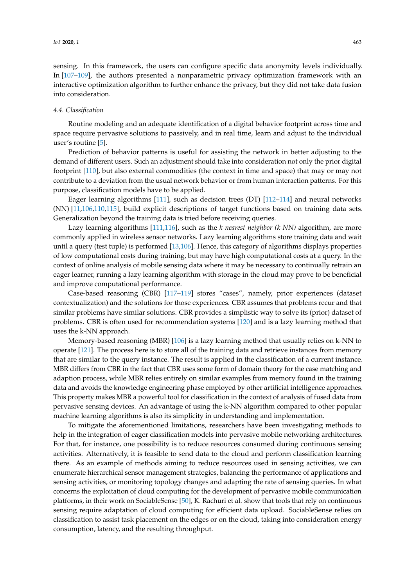sensing. In this framework, the users can configure specific data anonymity levels individually. In [\[107](#page-20-18)[–109\]](#page-21-0), the authors presented a nonparametric privacy optimization framework with an interactive optimization algorithm to further enhance the privacy, but they did not take data fusion into consideration.

## <span id="page-12-0"></span>*4.4. Classification*

Routine modeling and an adequate identification of a digital behavior footprint across time and space require pervasive solutions to passively, and in real time, learn and adjust to the individual user's routine [\[5\]](#page-15-4).

Prediction of behavior patterns is useful for assisting the network in better adjusting to the demand of different users. Such an adjustment should take into consideration not only the prior digital footprint [\[110\]](#page-21-1), but also external commodities (the context in time and space) that may or may not contribute to a deviation from the usual network behavior or from human interaction patterns. For this purpose, classification models have to be applied.

Eager learning algorithms [\[111\]](#page-21-2), such as decision trees (DT) [\[112–](#page-21-3)[114\]](#page-21-4) and neural networks (NN) [\[11,](#page-16-3)[106,](#page-20-17)[110,](#page-21-1)[115\]](#page-21-5), build explicit descriptions of target functions based on training data sets. Generalization beyond the training data is tried before receiving queries.

Lazy learning algorithms [\[111,](#page-21-2)[116\]](#page-21-6), such as the *k-nearest neighbor (k-NN)* algorithm, are more commonly applied in wireless sensor networks. Lazy learning algorithms store training data and wait until a query (test tuple) is performed [\[13,](#page-16-5)[106\]](#page-20-17). Hence, this category of algorithms displays properties of low computational costs during training, but may have high computational costs at a query. In the context of online analysis of mobile sensing data where it may be necessary to continually retrain an eager learner, running a lazy learning algorithm with storage in the cloud may prove to be beneficial and improve computational performance.

Case-based reasoning (CBR) [\[117](#page-21-7)[–119\]](#page-21-8) stores "cases", namely, prior experiences (dataset contextualization) and the solutions for those experiences. CBR assumes that problems recur and that similar problems have similar solutions. CBR provides a simplistic way to solve its (prior) dataset of problems. CBR is often used for recommendation systems [\[120\]](#page-21-9) and is a lazy learning method that uses the k-NN approach.

Memory-based reasoning (MBR) [\[106\]](#page-20-17) is a lazy learning method that usually relies on k-NN to operate [\[121\]](#page-21-10). The process here is to store all of the training data and retrieve instances from memory that are similar to the query instance. The result is applied in the classification of a current instance. MBR differs from CBR in the fact that CBR uses some form of domain theory for the case matching and adaption process, while MBR relies entirely on similar examples from memory found in the training data and avoids the knowledge engineering phase employed by other artificial intelligence approaches. This property makes MBR a powerful tool for classification in the context of analysis of fused data from pervasive sensing devices. An advantage of using the k-NN algorithm compared to other popular machine learning algorithms is also its simplicity in understanding and implementation.

To mitigate the aforementioned limitations, researchers have been investigating methods to help in the integration of eager classification models into pervasive mobile networking architectures. For that, for instance, one possibility is to reduce resources consumed during continuous sensing activities. Alternatively, it is feasible to send data to the cloud and perform classification learning there. As an example of methods aiming to reduce resources used in sensing activities, we can enumerate hierarchical sensor management strategies, balancing the performance of applications and sensing activities, or monitoring topology changes and adapting the rate of sensing queries. In what concerns the exploitation of cloud computing for the development of pervasive mobile communication platforms, in their work on SociableSense [\[50\]](#page-18-10), K. Rachuri et al. show that tools that rely on continuous sensing require adaptation of cloud computing for efficient data upload. SociableSense relies on classification to assist task placement on the edges or on the cloud, taking into consideration energy consumption, latency, and the resulting throughput.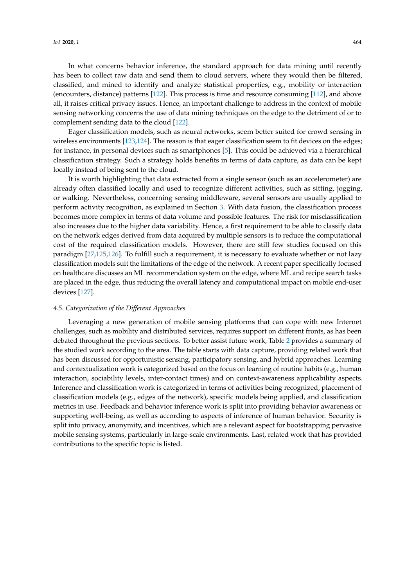In what concerns behavior inference, the standard approach for data mining until recently has been to collect raw data and send them to cloud servers, where they would then be filtered, classified, and mined to identify and analyze statistical properties, e.g., mobility or interaction (encounters, distance) patterns [\[122\]](#page-21-11). This process is time and resource consuming [\[112\]](#page-21-3), and above all, it raises critical privacy issues. Hence, an important challenge to address in the context of mobile sensing networking concerns the use of data mining techniques on the edge to the detriment of or to complement sending data to the cloud [\[122\]](#page-21-11).

Eager classification models, such as neural networks, seem better suited for crowd sensing in wireless environments [\[123](#page-21-12)[,124\]](#page-21-13). The reason is that eager classification seem to fit devices on the edges; for instance, in personal devices such as smartphones [\[5\]](#page-15-4). This could be achieved via a hierarchical classification strategy. Such a strategy holds benefits in terms of data capture, as data can be kept locally instead of being sent to the cloud.

It is worth highlighting that data extracted from a single sensor (such as an accelerometer) are already often classified locally and used to recognize different activities, such as sitting, jogging, or walking. Nevertheless, concerning sensing middleware, several sensors are usually applied to perform activity recognition, as explained in Section [3.](#page-3-0) With data fusion, the classification process becomes more complex in terms of data volume and possible features. The risk for misclassification also increases due to the higher data variability. Hence, a first requirement to be able to classify data on the network edges derived from data acquired by multiple sensors is to reduce the computational cost of the required classification models. However, there are still few studies focused on this paradigm [\[27,](#page-16-18)[125,](#page-21-14)[126\]](#page-21-15). To fulfill such a requirement, it is necessary to evaluate whether or not lazy classification models suit the limitations of the edge of the network. A recent paper specifically focused on healthcare discusses an ML recommendation system on the edge, where ML and recipe search tasks are placed in the edge, thus reducing the overall latency and computational impact on mobile end-user devices [\[127\]](#page-21-16).

## *4.5. Categorization of the Different Approaches*

Leveraging a new generation of mobile sensing platforms that can cope with new Internet challenges, such as mobility and distributed services, requires support on different fronts, as has been debated throughout the previous sections. To better assist future work, Table [2](#page-14-1) provides a summary of the studied work according to the area. The table starts with data capture, providing related work that has been discussed for opportunistic sensing, participatory sensing, and hybrid approaches. Learning and contextualization work is categorized based on the focus on learning of routine habits (e.g., human interaction, sociability levels, inter-contact times) and on context-awareness applicability aspects. Inference and classification work is categorized in terms of activities being recognized, placement of classification models (e.g., edges of the network), specific models being applied, and classification metrics in use. Feedback and behavior inference work is split into providing behavior awareness or supporting well-being, as well as according to aspects of inference of human behavior. Security is split into privacy, anonymity, and incentives, which are a relevant aspect for bootstrapping pervasive mobile sensing systems, particularly in large-scale environments. Last, related work that has provided contributions to the specific topic is listed.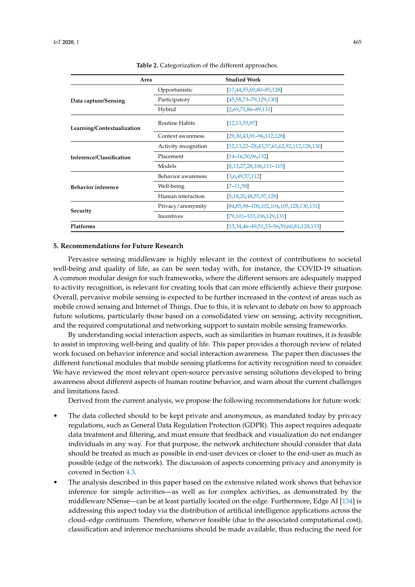<span id="page-14-1"></span>

| Area                       |                      | <b>Studied Work</b>                                    |
|----------------------------|----------------------|--------------------------------------------------------|
|                            | Opportunistic        | $[17, 44, 55, 69, 80 - 85, 128]$                       |
| Data capture/Sensing       | Participatory        | [45,58,73-79,129,130]                                  |
|                            | Hybrid               | $[2,69,71,86-89,131]$                                  |
| Learning/Contextualization | Routine Habits       | [12, 13, 55, 97]                                       |
|                            | Context awareness    | $[29,30,43,91-96,112,128]$                             |
|                            | Activity recognition | $[12, 13, 22 - 28, 43, 57, 61, 62, 92, 112, 128, 130]$ |
| Inference/Classification   | Placement            | $[14 - 16, 50, 96, 132]$                               |
|                            | Models               | $[8,13,27,28,106,111-115]$                             |
|                            | Behavior awareness   | [3,6,49,57,112]                                        |
| <b>Behavior inference</b>  | Well-being           | $[7-11,58]$                                            |
|                            | Human interaction    | [5,18,20,48,55,97,128]                                 |
|                            | Privacy/anonymity    | [84, 85, 98-100, 102, 104, 105, 128, 130, 131]         |
| Security                   | Incentives           | [79,101-103,106,129,131]                               |
| Platforms                  |                      | [13,34,46-49,51,53-56,59,60,81,128,133]                |

**Table 2.** Categorization of the different approaches.

## <span id="page-14-0"></span>**5. Recommendations for Future Research**

Pervasive sensing middleware is highly relevant in the context of contributions to societal well-being and quality of life, as can be seen today with, for instance, the COVID-19 situation. A common modular design for such frameworks, where the different sensors are adequately mapped to activity recognition, is relevant for creating tools that can more efficiently achieve their purpose. Overall, pervasive mobile sensing is expected to be further increased in the context of areas such as mobile crowd sensing and Internet of Things. Due to this, it is relevant to debate on how to approach future solutions, particularly those based on a consolidated view on sensing, activity recognition, and the required computational and networking support to sustain mobile sensing frameworks.

By understanding social interaction aspects, such as similarities in human routines, it is feasible to assist in improving well-being and quality of life. This paper provides a thorough review of related work focused on behavior inference and social interaction awareness. The paper then discusses the different functional modules that mobile sensing platforms for activity recognition need to consider. We have reviewed the most relevant open-source pervasive sensing solutions developed to bring awareness about different aspects of human routine behavior, and warn about the current challenges and limitations faced.

Derived from the current analysis, we propose the following recommendations for future work:

- The data collected should to be kept private and anonymous, as mandated today by privacy regulations, such as General Data Regulation Protection (GDPR). This aspect requires adequate data treatment and filtering, and must ensure that feedback and visualization do not endanger individuals in any way. For that purpose, the network architecture should consider that data should be treated as much as possible in end-user devices or closer to the end-user as much as possible (edge of the network). The discussion of aspects concerning privacy and anonymity is covered in Section [4.3.](#page-11-1)
- The analysis described in this paper based on the extensive related work shows that behavior inference for simple activities—as well as for complex activities, as demonstrated by the middleware NSense—can be at least partially located on the edge. Furthermore, Edge AI [\[134\]](#page-22-1) is addressing this aspect today via the distribution of artificial intelligence applications across the cloud–edge continuum. Therefore, whenever feasible (due to the associated computational cost), classification and inference mechanisms should be made available, thus reducing the need for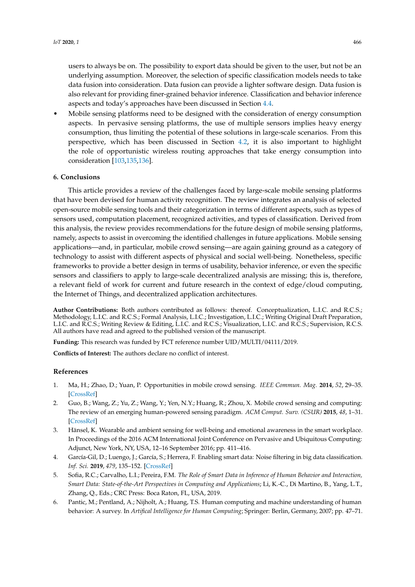users to always be on. The possibility to export data should be given to the user, but not be an underlying assumption. Moreover, the selection of specific classification models needs to take data fusion into consideration. Data fusion can provide a lighter software design. Data fusion is also relevant for providing finer-grained behavior inference. Classification and behavior inference aspects and today's approaches have been discussed in Section [4.4.](#page-12-0)

• Mobile sensing platforms need to be designed with the consideration of energy consumption aspects. In pervasive sensing platforms, the use of multiple sensors implies heavy energy consumption, thus limiting the potential of these solutions in large-scale scenarios. From this perspective, which has been discussed in Section [4.2,](#page-11-0) it is also important to highlight the role of opportunistic wireless routing approaches that take energy consumption into consideration [\[103](#page-20-12)[,135](#page-22-2)[,136\]](#page-22-3).

## <span id="page-15-6"></span>**6. Conclusions**

This article provides a review of the challenges faced by large-scale mobile sensing platforms that have been devised for human activity recognition. The review integrates an analysis of selected open-source mobile sensing tools and their categorization in terms of different aspects, such as types of sensors used, computation placement, recognized activities, and types of classification. Derived from this analysis, the review provides recommendations for the future design of mobile sensing platforms, namely, aspects to assist in overcoming the identified challenges in future applications. Mobile sensing applications—and, in particular, mobile crowd sensing—are again gaining ground as a category of technology to assist with different aspects of physical and social well-being. Nonetheless, specific frameworks to provide a better design in terms of usability, behavior inference, or even the specific sensors and classifiers to apply to large-scale decentralized analysis are missing; this is, therefore, a relevant field of work for current and future research in the context of edge/cloud computing, the Internet of Things, and decentralized application architectures.

**Author Contributions:** Both authors contributed as follows: thereof. Conceptualization, L.I.C. and R.C.S.; Methodology, L.I.C. and R.C.S.; Formal Analysis, L.I.C.; Investigation, L.I.C.; Writing Original Draft Preparation, L.I.C. and R.C.S.; Writing Review & Editing, L.I.C. and R.C.S.; Visualization, L.I.C. and R.C.S.; Supervision, R.C.S. All authors have read and agreed to the published version of the manuscript.

**Funding:** This research was funded by FCT reference number UID/MULTI/04111/2019.

**Conflicts of Interest:** The authors declare no conflict of interest.

## **References**

- <span id="page-15-0"></span>1. Ma, H.; Zhao, D.; Yuan, P. Opportunities in mobile crowd sensing. *IEEE Commun. Mag.* **2014**, *52*, 29–35. [\[CrossRef\]](http://dx.doi.org/10.1109/MCOM.2014.6871666)
- <span id="page-15-1"></span>2. Guo, B.; Wang, Z.; Yu, Z.; Wang, Y.; Yen, N.Y.; Huang, R.; Zhou, X. Mobile crowd sensing and computing: The review of an emerging human-powered sensing paradigm. *ACM Comput. Surv. (CSUR)* **2015**, *48*, 1–31. [\[CrossRef\]](http://dx.doi.org/10.1145/2794400)
- <span id="page-15-2"></span>3. Hänsel, K. Wearable and ambient sensing for well-being and emotional awareness in the smart workplace. In Proceedings of the 2016 ACM International Joint Conference on Pervasive and Ubiquitous Computing: Adjunct, New York, NY, USA, 12–16 September 2016; pp. 411–416.
- <span id="page-15-3"></span>4. García-Gil, D.; Luengo, J.; García, S.; Herrera, F. Enabling smart data: Noise filtering in big data classification. *Inf. Sci.* **2019**, *479*, 135–152. [\[CrossRef\]](http://dx.doi.org/10.1016/j.ins.2018.12.002)
- <span id="page-15-4"></span>5. Sofia, R.C.; Carvalho, L.I.; Pereira, F.M. *The Role of Smart Data in Inference of Human Behavior and Interaction, Smart Data: State-of-the-Art Perspectives in Computing and Applications*; Li, K.-C., Di Martino, B., Yang, L.T., Zhang, Q., Eds.; CRC Press: Boca Raton, FL, USA, 2019.
- <span id="page-15-5"></span>6. Pantic, M.; Pentland, A.; Nijholt, A.; Huang, T.S. Human computing and machine understanding of human behavior: A survey. In *Artifical Intelligence for Human Computing*; Springer: Berlin, Germany, 2007; pp. 47–71.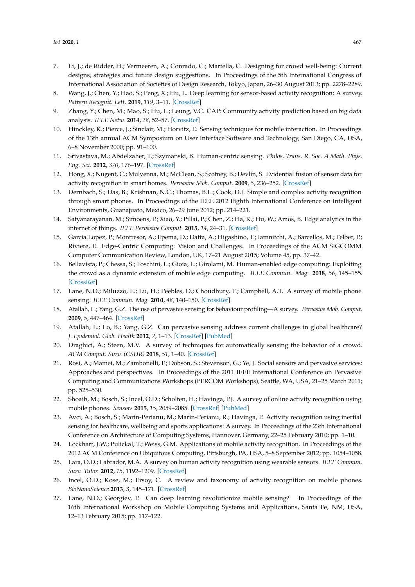- <span id="page-16-0"></span>7. Li, J.; de Ridder, H.; Vermeeren, A.; Conrado, C.; Martella, C. Designing for crowd well-being: Current designs, strategies and future design suggestions. In Proceedings of the 5th International Congress of International Association of Societies of Design Research, Tokyo, Japan, 26–30 August 2013; pp. 2278–2289.
- <span id="page-16-1"></span>8. Wang, J.; Chen, Y.; Hao, S.; Peng, X.; Hu, L. Deep learning for sensor-based activity recognition: A survey. *Pattern Recognit. Lett.* **2019**, *119*, 3–11. [\[CrossRef\]](http://dx.doi.org/10.1016/j.patrec.2018.02.010)
- <span id="page-16-2"></span>9. Zhang, Y.; Chen, M.; Mao, S.; Hu, L.; Leung, V.C. CAP: Community activity prediction based on big data analysis. *IEEE Netw.* **2014**, *28*, 52–57. [\[CrossRef\]](http://dx.doi.org/10.1109/MNET.2014.6863132)
- 10. Hinckley, K.; Pierce, J.; Sinclair, M.; Horvitz, E. Sensing techniques for mobile interaction. In Proceedings of the 13th annual ACM Symposium on User Interface Software and Technology, San Diego, CA, USA, 6–8 November 2000; pp. 91–100.
- <span id="page-16-3"></span>11. Srivastava, M.; Abdelzaher, T.; Szymanski, B. Human-centric sensing. *Philos. Trans. R. Soc. A Math. Phys. Eng. Sci.* **2012**, *370*, 176–197. [\[CrossRef\]](http://dx.doi.org/10.1098/rsta.2011.0244)
- <span id="page-16-4"></span>12. Hong, X.; Nugent, C.; Mulvenna, M.; McClean, S.; Scotney, B.; Devlin, S. Evidential fusion of sensor data for activity recognition in smart homes. *Pervasive Mob. Comput.* **2009**, *5*, 236–252. [\[CrossRef\]](http://dx.doi.org/10.1016/j.pmcj.2008.05.002)
- <span id="page-16-5"></span>13. Dernbach, S.; Das, B.; Krishnan, N.C.; Thomas, B.L.; Cook, D.J. Simple and complex activity recognition through smart phones. In Proceedings of the IEEE 2012 Eighth International Conference on Intelligent Environments, Guanajuato, Mexico, 26–29 June 2012; pp. 214–221.
- <span id="page-16-6"></span>14. Satyanarayanan, M.; Simoens, P.; Xiao, Y.; Pillai, P.; Chen, Z.; Ha, K.; Hu, W.; Amos, B. Edge analytics in the internet of things. *IEEE Pervasive Comput.* **2015**, *14*, 24–31. [\[CrossRef\]](http://dx.doi.org/10.1109/MPRV.2015.32)
- 15. Garcia Lopez, P.; Montresor, A.; Epema, D.; Datta, A.; Higashino, T.; Iamnitchi, A.; Barcellos, M.; Felber, P.; Riviere, E. Edge-Centric Computing: Vision and Challenges. In Proceedings of the ACM SIGCOMM Computer Communication Review, London, UK, 17–21 August 2015; Volume 45, pp. 37–42.
- <span id="page-16-7"></span>16. Bellavista, P.; Chessa, S.; Foschini, L.; Gioia, L.; Girolami, M. Human-enabled edge computing: Exploiting the crowd as a dynamic extension of mobile edge computing. *IEEE Commun. Mag.* **2018**, *56*, 145–155. [\[CrossRef\]](http://dx.doi.org/10.1109/MCOM.2017.1700385)
- <span id="page-16-8"></span>17. Lane, N.D.; Miluzzo, E.; Lu, H.; Peebles, D.; Choudhury, T.; Campbell, A.T. A survey of mobile phone sensing. *IEEE Commun. Mag.* **2010**, *48*, 140–150. [\[CrossRef\]](http://dx.doi.org/10.1109/MCOM.2010.5560598)
- <span id="page-16-9"></span>18. Atallah, L.; Yang, G.Z. The use of pervasive sensing for behaviour profiling—A survey. *Pervasive Mob. Comput.* **2009**, *5*, 447–464. [\[CrossRef\]](http://dx.doi.org/10.1016/j.pmcj.2009.06.009)
- <span id="page-16-10"></span>19. Atallah, L.; Lo, B.; Yang, G.Z. Can pervasive sensing address current challenges in global healthcare? *J. Epidemiol. Glob. Health* **2012**, *2*, 1–13. [\[CrossRef\]](http://dx.doi.org/10.1016/j.jegh.2011.11.005) [\[PubMed\]](http://www.ncbi.nlm.nih.gov/pubmed/23856393)
- <span id="page-16-11"></span>20. Draghici, A.; Steen, M.V. A survey of techniques for automatically sensing the behavior of a crowd. *ACM Comput. Surv. (CSUR)* **2018**, *51*, 1–40. [\[CrossRef\]](http://dx.doi.org/10.1145/3129343)
- <span id="page-16-12"></span>21. Rosi, A.; Mamei, M.; Zambonelli, F.; Dobson, S.; Stevenson, G.; Ye, J. Social sensors and pervasive services: Approaches and perspectives. In Proceedings of the 2011 IEEE International Conference on Pervasive Computing and Communications Workshops (PERCOM Workshops), Seattle, WA, USA, 21–25 March 2011; pp. 525–530.
- <span id="page-16-13"></span>22. Shoaib, M.; Bosch, S.; Incel, O.D.; Scholten, H.; Havinga, P.J. A survey of online activity recognition using mobile phones. *Sensors* **2015**, *15*, 2059–2085. [\[CrossRef\]](http://dx.doi.org/10.3390/s150102059) [\[PubMed\]](http://www.ncbi.nlm.nih.gov/pubmed/25608213)
- <span id="page-16-14"></span>23. Avci, A.; Bosch, S.; Marin-Perianu, M.; Marin-Perianu, R.; Havinga, P. Activity recognition using inertial sensing for healthcare, wellbeing and sports applications: A survey. In Proceedings of the 23th International Conference on Architecture of Computing Systems, Hannover, Germany, 22–25 February 2010; pp. 1–10.
- <span id="page-16-15"></span>24. Lockhart, J.W.; Pulickal, T.; Weiss, G.M. Applications of mobile activity recognition. In Proceedings of the 2012 ACM Conference on Ubiquitous Computing, Pittsburgh, PA, USA, 5–8 September 2012; pp. 1054–1058.
- <span id="page-16-16"></span>25. Lara, O.D.; Labrador, M.A. A survey on human activity recognition using wearable sensors. *IEEE Commun. Surv. Tutor.* **2012**, *15*, 1192–1209. [\[CrossRef\]](http://dx.doi.org/10.1109/SURV.2012.110112.00192)
- <span id="page-16-17"></span>26. Incel, O.D.; Kose, M.; Ersoy, C. A review and taxonomy of activity recognition on mobile phones. *BioNanoScience* **2013**, *3*, 145–171. [\[CrossRef\]](http://dx.doi.org/10.1007/s12668-013-0088-3)
- <span id="page-16-18"></span>27. Lane, N.D.; Georgiev, P. Can deep learning revolutionize mobile sensing? In Proceedings of the 16th International Workshop on Mobile Computing Systems and Applications, Santa Fe, NM, USA, 12–13 February 2015; pp. 117–122.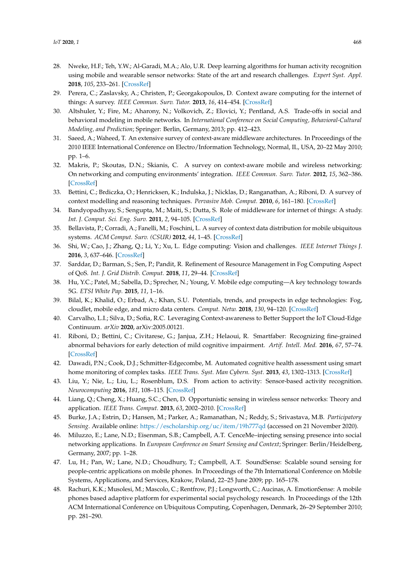- <span id="page-17-0"></span>28. Nweke, H.F.; Teh, Y.W.; Al-Garadi, M.A.; Alo, U.R. Deep learning algorithms for human activity recognition using mobile and wearable sensor networks: State of the art and research challenges. *Expert Syst. Appl.* **2018**, *105*, 233–261. [\[CrossRef\]](http://dx.doi.org/10.1016/j.eswa.2018.03.056)
- <span id="page-17-1"></span>29. Perera, C.; Zaslavsky, A.; Christen, P.; Georgakopoulos, D. Context aware computing for the internet of things: A survey. *IEEE Commun. Surv. Tutor.* **2013**, *16*, 414–454. [\[CrossRef\]](http://dx.doi.org/10.1109/SURV.2013.042313.00197)
- <span id="page-17-2"></span>30. Altshuler, Y.; Fire, M.; Aharony, N.; Volkovich, Z.; Elovici, Y.; Pentland, A.S. Trade-offs in social and behavioral modeling in mobile networks. In *International Conference on Social Computing, Behavioral-Cultural Modeling, and Prediction*; Springer: Berlin, Germany, 2013; pp. 412–423.
- <span id="page-17-3"></span>31. Saeed, A.; Waheed, T. An extensive survey of context-aware middleware architectures. In Proceedings of the 2010 IEEE International Conference on Electro/Information Technology, Normal, IL, USA, 20–22 May 2010; pp. 1–6.
- <span id="page-17-4"></span>32. Makris, P.; Skoutas, D.N.; Skianis, C. A survey on context-aware mobile and wireless networking: On networking and computing environments' integration. *IEEE Commun. Surv. Tutor.* **2012**, *15*, 362–386. [\[CrossRef\]](http://dx.doi.org/10.1109/SURV.2012.040912.00180)
- <span id="page-17-5"></span>33. Bettini, C.; Brdiczka, O.; Henricksen, K.; Indulska, J.; Nicklas, D.; Ranganathan, A.; Riboni, D. A survey of context modelling and reasoning techniques. *Pervasive Mob. Comput.* **2010**, *6*, 161–180. [\[CrossRef\]](http://dx.doi.org/10.1016/j.pmcj.2009.06.002)
- <span id="page-17-6"></span>34. Bandyopadhyay, S.; Sengupta, M.; Maiti, S.; Dutta, S. Role of middleware for internet of things: A study. *Int. J. Comput. Sci. Eng. Surv.* **2011**, *2*, 94–105. [\[CrossRef\]](http://dx.doi.org/10.5121/ijcses.2011.2307)
- <span id="page-17-7"></span>35. Bellavista, P.; Corradi, A.; Fanelli, M.; Foschini, L. A survey of context data distribution for mobile ubiquitous systems. *ACM Comput. Surv. (CSUR)* **2012**, *44*, 1–45. [\[CrossRef\]](http://dx.doi.org/10.1145/2333112.2333119)
- <span id="page-17-8"></span>36. Shi, W.; Cao, J.; Zhang, Q.; Li, Y.; Xu, L. Edge computing: Vision and challenges. *IEEE Internet Things J.* **2016**, *3*, 637–646. [\[CrossRef\]](http://dx.doi.org/10.1109/JIOT.2016.2579198)
- <span id="page-17-20"></span><span id="page-17-9"></span>37. Sarddar, D.; Barman, S.; Sen, P.; Pandit, R. Refinement of Resource Management in Fog Computing Aspect of QoS. *Int. J. Grid Distrib. Comput.* **2018**, *11*, 29–44. [\[CrossRef\]](http://dx.doi.org/10.14257/ijgdc.2018.11.5.03)
- <span id="page-17-21"></span><span id="page-17-10"></span>38. Hu, Y.C.; Patel, M.; Sabella, D.; Sprecher, N.; Young, V. Mobile edge computing—A key technology towards 5G. *ETSI White Pap.* **2015**, *11*, 1–16.
- <span id="page-17-11"></span>39. Bilal, K.; Khalid, O.; Erbad, A.; Khan, S.U. Potentials, trends, and prospects in edge technologies: Fog, cloudlet, mobile edge, and micro data centers. *Comput. Netw.* **2018**, *130*, 94–120. [\[CrossRef\]](http://dx.doi.org/10.1016/j.comnet.2017.10.002)
- <span id="page-17-22"></span><span id="page-17-12"></span>40. Carvalho, L.I.; Silva, D.; Sofia, R.C. Leveraging Context-awareness to Better Support the IoT Cloud-Edge Continuum. *arXiv* **2020**, arXiv:2005.00121.
- <span id="page-17-13"></span>41. Riboni, D.; Bettini, C.; Civitarese, G.; Janjua, Z.H.; Helaoui, R. Smartfaber: Recognizing fine-grained abnormal behaviors for early detection of mild cognitive impairment. *Artif. Intell. Med.* **2016**, *67*, 57–74. [\[CrossRef\]](http://dx.doi.org/10.1016/j.artmed.2015.12.001)
- <span id="page-17-14"></span>42. Dawadi, P.N.; Cook, D.J.; Schmitter-Edgecombe, M. Automated cognitive health assessment using smart home monitoring of complex tasks. *IEEE Trans. Syst. Man Cybern. Syst.* **2013**, *43*, 1302–1313. [\[CrossRef\]](http://dx.doi.org/10.1109/TSMC.2013.2252338)
- <span id="page-17-15"></span>Liu, Y.; Nie, L.; Liu, L.; Rosenblum, D.S. From action to activity: Sensor-based activity recognition. *Neurocomputing* **2016**, *181*, 108–115. [\[CrossRef\]](http://dx.doi.org/10.1016/j.neucom.2015.08.096)
- <span id="page-17-16"></span>44. Liang, Q.; Cheng, X.; Huang, S.C.; Chen, D. Opportunistic sensing in wireless sensor networks: Theory and application. *IEEE Trans. Comput.* **2013**, *63*, 2002–2010. [\[CrossRef\]](http://dx.doi.org/10.1109/TC.2013.85)
- <span id="page-17-17"></span>45. Burke, J.A.; Estrin, D.; Hansen, M.; Parker, A.; Ramanathan, N.; Reddy, S.; Srivastava, M.B. *Participatory Sensing*. Available online: <https://escholarship.org/uc/item/19h777qd> (accessed on 21 November 2020).
- <span id="page-17-18"></span>46. Miluzzo, E.; Lane, N.D.; Eisenman, S.B.; Campbell, A.T. CenceMe–injecting sensing presence into social networking applications. In *European Conference on Smart Sensing and Context*; Springer: Berlin/Heidelberg, Germany, 2007; pp. 1–28.
- <span id="page-17-19"></span>47. Lu, H.; Pan, W.; Lane, N.D.; Choudhury, T.; Campbell, A.T. SoundSense: Scalable sound sensing for people-centric applications on mobile phones. In Proceedings of the 7th International Conference on Mobile Systems, Applications, and Services, Krakow, Poland, 22–25 June 2009; pp. 165–178.
- <span id="page-17-23"></span>48. Rachuri, K.K.; Musolesi, M.; Mascolo, C.; Rentfrow, P.J.; Longworth, C.; Aucinas, A. EmotionSense: A mobile phones based adaptive platform for experimental social psychology research. In Proceedings of the 12th ACM International Conference on Ubiquitous Computing, Copenhagen, Denmark, 26–29 September 2010; pp. 281–290.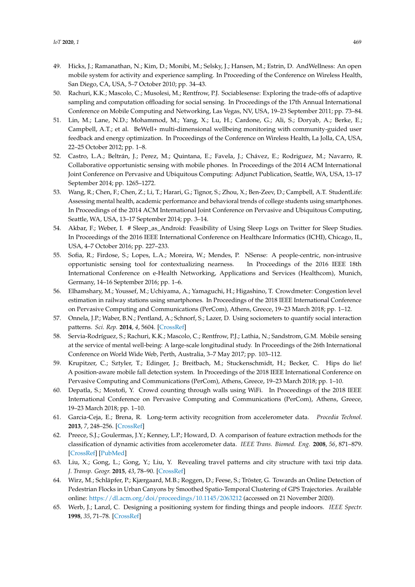- <span id="page-18-8"></span><span id="page-18-6"></span><span id="page-18-5"></span><span id="page-18-4"></span><span id="page-18-3"></span><span id="page-18-2"></span><span id="page-18-1"></span><span id="page-18-0"></span>49. Hicks, J.; Ramanathan, N.; Kim, D.; Monibi, M.; Selsky, J.; Hansen, M.; Estrin, D. AndWellness: An open mobile system for activity and experience sampling. In Proceeding of the Conference on Wireless Health, San Diego, CA, USA, 5–7 October 2010; pp. 34–43.
- <span id="page-18-10"></span>50. Rachuri, K.K.; Mascolo, C.; Musolesi, M.; Rentfrow, P.J. Sociablesense: Exploring the trade-offs of adaptive sampling and computation offloading for social sensing. In Proceedings of the 17th Annual International Conference on Mobile Computing and Networking, Las Vegas, NV, USA, 19–23 September 2011; pp. 73–84.
- <span id="page-18-9"></span><span id="page-18-7"></span>51. Lin, M.; Lane, N.D.; Mohammod, M.; Yang, X.; Lu, H.; Cardone, G.; Ali, S.; Doryab, A.; Berke, E.; Campbell, A.T.; et al. BeWell+ multi-dimensional wellbeing monitoring with community-guided user feedback and energy optimization. In Proceedings of the Conference on Wireless Health, La Jolla, CA, USA, 22–25 October 2012; pp. 1–8.
- 52. Castro, L.A.; Beltrán, J.; Perez, M.; Quintana, E.; Favela, J.; Chávez, E.; Rodriguez, M.; Navarro, R. Collaborative opportunistic sensing with mobile phones. In Proceedings of the 2014 ACM International Joint Conference on Pervasive and Ubiquitous Computing: Adjunct Publication, Seattle, WA, USA, 13–17 September 2014; pp. 1265–1272.
- <span id="page-18-11"></span>53. Wang, R.; Chen, F.; Chen, Z.; Li, T.; Harari, G.; Tignor, S.; Zhou, X.; Ben-Zeev, D.; Campbell, A.T. StudentLife: Assessing mental health, academic performance and behavioral trends of college students using smartphones. In Proceedings of the 2014 ACM International Joint Conference on Pervasive and Ubiquitous Computing, Seattle, WA, USA, 13–17 September 2014; pp. 3–14.
- <span id="page-18-12"></span>54. Akbar, F.; Weber, I. # Sleep\_as\_Android: Feasibility of Using Sleep Logs on Twitter for Sleep Studies. In Proceedings of the 2016 IEEE International Conference on Healthcare Informatics (ICHI), Chicago, IL, USA, 4–7 October 2016; pp. 227–233.
- <span id="page-18-13"></span>55. Sofia, R.; Firdose, S.; Lopes, L.A.; Moreira, W.; Mendes, P. NSense: A people-centric, non-intrusive opportunistic sensing tool for contextualizing nearness. In Proceedings of the 2016 IEEE 18th International Conference on e-Health Networking, Applications and Services (Healthcom), Munich, Germany, 14–16 September 2016; pp. 1–6.
- <span id="page-18-14"></span>56. Elhamshary, M.; Youssef, M.; Uchiyama, A.; Yamaguchi, H.; Higashino, T. Crowdmeter: Congestion level estimation in railway stations using smartphones. In Proceedings of the 2018 IEEE International Conference on Pervasive Computing and Communications (PerCom), Athens, Greece, 19–23 March 2018; pp. 1–12.
- <span id="page-18-15"></span>57. Onnela, J.P.; Waber, B.N.; Pentland, A.; Schnorf, S.; Lazer, D. Using sociometers to quantify social interaction patterns. *Sci. Rep.* **2014**, *4*, 5604. [\[CrossRef\]](http://dx.doi.org/10.1038/srep05604)
- <span id="page-18-16"></span>58. Servia-Rodríguez, S.; Rachuri, K.K.; Mascolo, C.; Rentfrow, P.J.; Lathia, N.; Sandstrom, G.M. Mobile sensing at the service of mental well-being: A large-scale longitudinal study. In Proceedings of the 26th International Conference on World Wide Web, Perth, Australia, 3–7 May 2017; pp. 103–112.
- <span id="page-18-17"></span>59. Krupitzer, C.; Sztyler, T.; Edinger, J.; Breitbach, M.; Stuckenschmidt, H.; Becker, C. Hips do lie! A position-aware mobile fall detection system. In Proceedings of the 2018 IEEE International Conference on Pervasive Computing and Communications (PerCom), Athens, Greece, 19–23 March 2018; pp. 1–10.
- <span id="page-18-18"></span>60. Depatla, S.; Mostofi, Y. Crowd counting through walls using WiFi. In Proceedings of the 2018 IEEE International Conference on Pervasive Computing and Communications (PerCom), Athens, Greece, 19–23 March 2018; pp. 1–10.
- <span id="page-18-19"></span>61. Garcia-Ceja, E.; Brena, R. Long-term activity recognition from accelerometer data. *Procedia Technol.* **2013**, *7*, 248–256. [\[CrossRef\]](http://dx.doi.org/10.1016/j.protcy.2013.04.031)
- <span id="page-18-20"></span>62. Preece, S.J.; Goulermas, J.Y.; Kenney, L.P.; Howard, D. A comparison of feature extraction methods for the classification of dynamic activities from accelerometer data. *IEEE Trans. Biomed. Eng.* **2008**, *56*, 871–879. [\[CrossRef\]](http://dx.doi.org/10.1109/TBME.2008.2006190) [\[PubMed\]](http://www.ncbi.nlm.nih.gov/pubmed/19272902)
- <span id="page-18-21"></span>63. Liu, X.; Gong, L.; Gong, Y.; Liu, Y. Revealing travel patterns and city structure with taxi trip data. *J. Transp. Geogr.* **2015**, *43*, 78–90. [\[CrossRef\]](http://dx.doi.org/10.1016/j.jtrangeo.2015.01.016)
- <span id="page-18-22"></span>64. Wirz, M.; Schläpfer, P.; Kjærgaard, M.B.; Roggen, D.; Feese, S.; Tröster, G. Towards an Online Detection of Pedestrian Flocks in Urban Canyons by Smoothed Spatio-Temporal Clustering of GPS Trajectories. Available online: <https://dl.acm.org/doi/proceedings/10.1145/2063212> (accessed on 21 November 2020).
- <span id="page-18-23"></span>65. Werb, J.; Lanzl, C. Designing a positioning system for finding things and people indoors. *IEEE Spectr.* **1998**, *35*, 71–78. [\[CrossRef\]](http://dx.doi.org/10.1109/6.715187)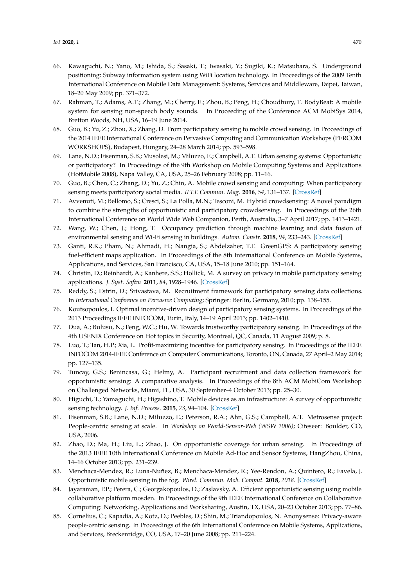- <span id="page-19-0"></span>66. Kawaguchi, N.; Yano, M.; Ishida, S.; Sasaki, T.; Iwasaki, Y.; Sugiki, K.; Matsubara, S. Underground positioning: Subway information system using WiFi location technology. In Proceedings of the 2009 Tenth International Conference on Mobile Data Management: Systems, Services and Middleware, Taipei, Taiwan, 18–20 May 2009; pp. 371–372.
- <span id="page-19-1"></span>67. Rahman, T.; Adams, A.T.; Zhang, M.; Cherry, E.; Zhou, B.; Peng, H.; Choudhury, T. BodyBeat: A mobile system for sensing non-speech body sounds. In Proceeding of the Conference ACM MobiSys 2014, Bretton Woods, NH, USA, 16–19 June 2014.
- <span id="page-19-2"></span>68. Guo, B.; Yu, Z.; Zhou, X.; Zhang, D. From participatory sensing to mobile crowd sensing. In Proceedings of the 2014 IEEE International Conference on Pervasive Computing and Communication Workshops (PERCOM WORKSHOPS), Budapest, Hungary, 24–28 March 2014; pp. 593–598.
- <span id="page-19-3"></span>69. Lane, N.D.; Eisenman, S.B.; Musolesi, M.; Miluzzo, E.; Campbell, A.T. Urban sensing systems: Opportunistic or participatory? In Proceedings of the 9th Workshop on Mobile Computing Systems and Applications (HotMobile 2008), Napa Valley, CA, USA, 25–26 February 2008; pp. 11–16.
- 70. Guo, B.; Chen, C.; Zhang, D.; Yu, Z.; Chin, A. Mobile crowd sensing and computing: When participatory sensing meets participatory social media. *IEEE Commun. Mag.* **2016**, *54*, 131–137. [\[CrossRef\]](http://dx.doi.org/10.1109/MCOM.2016.7402272)
- <span id="page-19-4"></span>71. Avvenuti, M.; Bellomo, S.; Cresci, S.; La Polla, M.N.; Tesconi, M. Hybrid crowdsensing: A novel paradigm to combine the strengths of opportunistic and participatory crowdsensing. In Proceedings of the 26th International Conference on World Wide Web Companion, Perth, Australia, 3–7 April 2017; pp. 1413–1421.
- <span id="page-19-5"></span>72. Wang, W.; Chen, J.; Hong, T. Occupancy prediction through machine learning and data fusion of environmental sensing and Wi-Fi sensing in buildings. *Autom. Constr.* **2018**, *94*, 233–243. [\[CrossRef\]](http://dx.doi.org/10.1016/j.autcon.2018.07.007)
- <span id="page-19-6"></span>73. Ganti, R.K.; Pham, N.; Ahmadi, H.; Nangia, S.; Abdelzaher, T.F. GreenGPS: A participatory sensing fuel-efficient maps application. In Proceedings of the 8th International Conference on Mobile Systems, Applications, and Services, San Francisco, CA, USA, 15–18 June 2010; pp. 151–164.
- <span id="page-19-7"></span>74. Christin, D.; Reinhardt, A.; Kanhere, S.S.; Hollick, M. A survey on privacy in mobile participatory sensing applications. *J. Syst. Softw.* **2011**, *84*, 1928–1946. [\[CrossRef\]](http://dx.doi.org/10.1016/j.jss.2011.06.073)
- <span id="page-19-8"></span>75. Reddy, S.; Estrin, D.; Srivastava, M. Recruitment framework for participatory sensing data collections. In *International Conference on Pervasive Computing*; Springer: Berlin, Germany, 2010; pp. 138–155.
- 76. Koutsopoulos, I. Optimal incentive-driven design of participatory sensing systems. In Proceedings of the 2013 Proceedings IEEE INFOCOM, Turin, Italy, 14–19 April 2013; pp. 1402–1410.
- 77. Dua, A.; Bulusu, N.; Feng, W.C.; Hu, W. Towards trustworthy participatory sensing. In Proceedings of the 4th USENIX Conference on Hot topics in Security, Montreal, QC, Canada, 11 August 2009; p. 8.
- 78. Luo, T.; Tan, H.P.; Xia, L. Profit-maximizing incentive for participatory sensing. In Proceedings of the IEEE INFOCOM 2014-IEEE Conference on Computer Communications, Toronto, ON, Canada, 27 April–2 May 2014; pp. 127–135.
- <span id="page-19-9"></span>79. Tuncay, G.S.; Benincasa, G.; Helmy, A. Participant recruitment and data collection framework for opportunistic sensing: A comparative analysis. In Proceedings of the 8th ACM MobiCom Workshop on Challenged Networks, Miami, FL, USA, 30 September–4 October 2013; pp. 25–30.
- <span id="page-19-10"></span>80. Higuchi, T.; Yamaguchi, H.; Higashino, T. Mobile devices as an infrastructure: A survey of opportunistic sensing technology. *J. Inf. Process.* **2015**, *23*, 94–104. [\[CrossRef\]](http://dx.doi.org/10.2197/ipsjjip.23.94)
- <span id="page-19-15"></span>81. Eisenman, S.B.; Lane, N.D.; Miluzzo, E.; Peterson, R.A.; Ahn, G.S.; Campbell, A.T. Metrosense project: People-centric sensing at scale. In *Workshop on World-Sensor-Web (WSW 2006)*; Citeseer: Boulder, CO, USA, 2006.
- <span id="page-19-11"></span>82. Zhao, D.; Ma, H.; Liu, L.; Zhao, J. On opportunistic coverage for urban sensing. In Proceedings of the 2013 IEEE 10th International Conference on Mobile Ad-Hoc and Sensor Systems, HangZhou, China, 14–16 October 2013; pp. 231–239.
- <span id="page-19-12"></span>83. Menchaca-Mendez, R.; Luna-Nuñez, B.; Menchaca-Mendez, R.; Yee-Rendon, A.; Quintero, R.; Favela, J. Opportunistic mobile sensing in the fog. *Wirel. Commun. Mob. Comput.* **2018**, *2018*. [\[CrossRef\]](http://dx.doi.org/10.1155/2018/2796282)
- <span id="page-19-13"></span>84. Jayaraman, P.P.; Perera, C.; Georgakopoulos, D.; Zaslavsky, A. Efficient opportunistic sensing using mobile collaborative platform mosden. In Proceedings of the 9th IEEE International Conference on Collaborative Computing: Networking, Applications and Worksharing, Austin, TX, USA, 20–23 October 2013; pp. 77–86.
- <span id="page-19-14"></span>85. Cornelius, C.; Kapadia, A.; Kotz, D.; Peebles, D.; Shin, M.; Triandopoulos, N. Anonysense: Privacy-aware people-centric sensing. In Proceedings of the 6th International Conference on Mobile Systems, Applications, and Services, Breckenridge, CO, USA, 17–20 June 2008; pp. 211–224.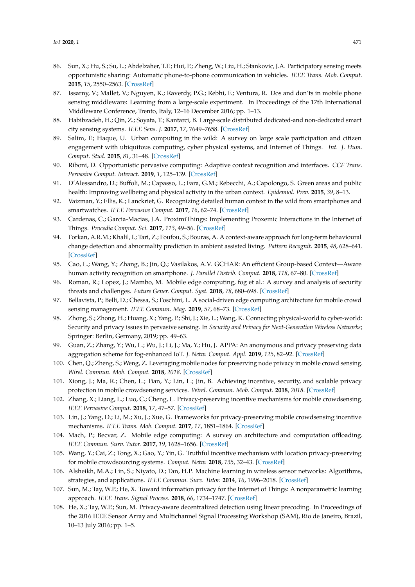- <span id="page-20-0"></span>86. Sun, X.; Hu, S.; Su, L.; Abdelzaher, T.F.; Hui, P.; Zheng, W.; Liu, H.; Stankovic, J.A. Participatory sensing meets opportunistic sharing: Automatic phone-to-phone communication in vehicles. *IEEE Trans. Mob. Comput.* **2015**, *15*, 2550–2563. [\[CrossRef\]](http://dx.doi.org/10.1109/TMC.2015.2503752)
- 87. Issarny, V.; Mallet, V.; Nguyen, K.; Raverdy, P.G.; Rebhi, F.; Ventura, R. Dos and don'ts in mobile phone sensing middleware: Learning from a large-scale experiment. In Proceedings of the 17th International Middleware Conference, Trento, Italy, 12–16 December 2016; pp. 1–13.
- 88. Habibzadeh, H.; Qin, Z.; Soyata, T.; Kantarci, B. Large-scale distributed dedicated-and non-dedicated smart city sensing systems. *IEEE Sens. J.* **2017**, *17*, 7649–7658. [\[CrossRef\]](http://dx.doi.org/10.1109/JSEN.2017.2725638)
- <span id="page-20-1"></span>89. Salim, F.; Haque, U. Urban computing in the wild: A survey on large scale participation and citizen engagement with ubiquitous computing, cyber physical systems, and Internet of Things. *Int. J. Hum. Comput. Stud.* **2015**, *81*, 31–48. [\[CrossRef\]](http://dx.doi.org/10.1016/j.ijhcs.2015.03.003)
- <span id="page-20-2"></span>90. Riboni, D. Opportunistic pervasive computing: Adaptive context recognition and interfaces. *CCF Trans. Pervasive Comput. Interact.* **2019**, *1*, 125–139. [\[CrossRef\]](http://dx.doi.org/10.1007/s42486-018-00004-9)
- <span id="page-20-3"></span>91. D'Alessandro, D.; Buffoli, M.; Capasso, L.; Fara, G.M.; Rebecchi, A.; Capolongo, S. Green areas and public health: Improving wellbeing and physical activity in the urban context. *Epidemiol. Prev.* **2015**, *39*, 8–13.
- <span id="page-20-4"></span>92. Vaizman, Y.; Ellis, K.; Lanckriet, G. Recognizing detailed human context in the wild from smartphones and smartwatches. *IEEE Pervasive Comput.* **2017**, *16*, 62–74. [\[CrossRef\]](http://dx.doi.org/10.1109/MPRV.2017.3971131)
- 93. Cardenas, C.; Garcia-Macias, J.A. ProximiThings: Implementing Proxemic Interactions in the Internet of Things. *Procedia Comput. Sci.* **2017**, *113*, 49–56. [\[CrossRef\]](http://dx.doi.org/10.1016/j.procs.2017.08.286)
- <span id="page-20-5"></span>94. Forkan, A.R.M.; Khalil, I.; Tari, Z.; Foufou, S.; Bouras, A. A context-aware approach for long-term behavioural change detection and abnormality prediction in ambient assisted living. *Pattern Recognit.* **2015**, *48*, 628–641. [\[CrossRef\]](http://dx.doi.org/10.1016/j.patcog.2014.07.007)
- <span id="page-20-6"></span>95. Cao, L.; Wang, Y.; Zhang, B.; Jin, Q.; Vasilakos, A.V. GCHAR: An efficient Group-based Context—Aware human activity recognition on smartphone. *J. Parallel Distrib. Comput.* **2018**, *118*, 67–80. [\[CrossRef\]](http://dx.doi.org/10.1016/j.jpdc.2017.05.007)
- <span id="page-20-7"></span>96. Roman, R.; Lopez, J.; Mambo, M. Mobile edge computing, fog et al.: A survey and analysis of security threats and challenges. *Future Gener. Comput. Syst.* **2018**, *78*, 680–698. [\[CrossRef\]](http://dx.doi.org/10.1016/j.future.2016.11.009)
- <span id="page-20-8"></span>97. Bellavista, P.; Belli, D.; Chessa, S.; Foschini, L. A social-driven edge computing architecture for mobile crowd sensing management. *IEEE Commun. Mag.* **2019**, *57*, 68–73. [\[CrossRef\]](http://dx.doi.org/10.1109/MCOM.2019.1800637)
- <span id="page-20-9"></span>98. Zhong, S.; Zhong, H.; Huang, X.; Yang, P.; Shi, J.; Xie, L.; Wang, K. Connecting physical-world to cyber-world: Security and privacy issues in pervasive sensing. In *Security and Privacy for Next-Generation Wireless Networks*; Springer: Berlin, Germany, 2019; pp. 49–63.
- <span id="page-20-15"></span>99. Guan, Z.; Zhang, Y.; Wu, L.; Wu, J.; Li, J.; Ma, Y.; Hu, J. APPA: An anonymous and privacy preserving data aggregation scheme for fog-enhanced IoT. *J. Netw. Comput. Appl.* **2019**, *125*, 82–92. [\[CrossRef\]](http://dx.doi.org/10.1016/j.jnca.2018.09.019)
- <span id="page-20-10"></span>100. Chen, Q.; Zheng, S.; Weng, Z. Leveraging mobile nodes for preserving node privacy in mobile crowd sensing. *Wirel. Commun. Mob. Comput.* **2018**, *2018*. [\[CrossRef\]](http://dx.doi.org/10.1155/2018/9567302)
- <span id="page-20-11"></span>101. Xiong, J.; Ma, R.; Chen, L.; Tian, Y.; Lin, L.; Jin, B. Achieving incentive, security, and scalable privacy protection in mobile crowdsensing services. *Wirel. Commun. Mob. Comput.* **2018**, *2018*. [\[CrossRef\]](http://dx.doi.org/10.1155/2018/8959635)
- <span id="page-20-16"></span>102. Zhang, X.; Liang, L.; Luo, C.; Cheng, L. Privacy-preserving incentive mechanisms for mobile crowdsensing. *IEEE Pervasive Comput.* **2018**, *17*, 47–57. [\[CrossRef\]](http://dx.doi.org/10.1109/MPRV.2018.03367734)
- <span id="page-20-12"></span>103. Lin, J.; Yang, D.; Li, M.; Xu, J.; Xue, G. Frameworks for privacy-preserving mobile crowdsensing incentive mechanisms. *IEEE Trans. Mob. Comput.* **2017**, *17*, 1851–1864. [\[CrossRef\]](http://dx.doi.org/10.1109/TMC.2017.2780091)
- <span id="page-20-13"></span>104. Mach, P.; Becvar, Z. Mobile edge computing: A survey on architecture and computation offloading. *IEEE Commun. Surv. Tutor.* **2017**, *19*, 1628–1656. [\[CrossRef\]](http://dx.doi.org/10.1109/COMST.2017.2682318)
- <span id="page-20-14"></span>105. Wang, Y.; Cai, Z.; Tong, X.; Gao, Y.; Yin, G. Truthful incentive mechanism with location privacy-preserving for mobile crowdsourcing systems. *Comput. Netw.* **2018**, *135*, 32–43. [\[CrossRef\]](http://dx.doi.org/10.1016/j.comnet.2018.02.008)
- <span id="page-20-17"></span>106. Alsheikh, M.A.; Lin, S.; Niyato, D.; Tan, H.P. Machine learning in wireless sensor networks: Algorithms, strategies, and applications. *IEEE Commun. Surv. Tutor.* **2014**, *16*, 1996–2018. [\[CrossRef\]](http://dx.doi.org/10.1109/COMST.2014.2320099)
- <span id="page-20-18"></span>107. Sun, M.; Tay, W.P.; He, X. Toward information privacy for the Internet of Things: A nonparametric learning approach. *IEEE Trans. Signal Process.* **2018**, *66*, 1734–1747. [\[CrossRef\]](http://dx.doi.org/10.1109/TSP.2018.2793871)
- 108. He, X.; Tay, W.P.; Sun, M. Privacy-aware decentralized detection using linear precoding. In Proceedings of the 2016 IEEE Sensor Array and Multichannel Signal Processing Workshop (SAM), Rio de Janeiro, Brazil, 10–13 July 2016; pp. 1–5.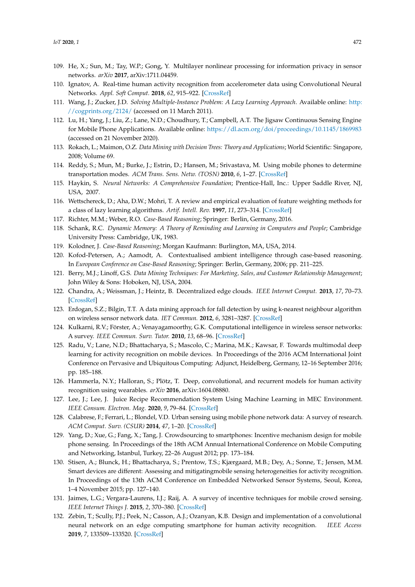- <span id="page-21-0"></span>109. He, X.; Sun, M.; Tay, W.P.; Gong, Y. Multilayer nonlinear processing for information privacy in sensor networks. *arXiv* **2017**, arXiv:1711.04459.
- <span id="page-21-1"></span>110. Ignatov, A. Real-time human activity recognition from accelerometer data using Convolutional Neural Networks. *Appl. Soft Comput.* **2018**, *62*, 915–922. [\[CrossRef\]](http://dx.doi.org/10.1016/j.asoc.2017.09.027)
- <span id="page-21-2"></span>111. Wang, J.; Zucker, J.D. *Solving Multiple-Instance Problem: A Lazy Learning Approach*. Available online: [http:](http://cogprints.org/2124/) [//cogprints.org/2124/](http://cogprints.org/2124/) (accessed on 11 March 2011).
- <span id="page-21-3"></span>112. Lu, H.; Yang, J.; Liu, Z.; Lane, N.D.; Choudhury, T.; Campbell, A.T. The Jigsaw Continuous Sensing Engine for Mobile Phone Applications. Available online: <https://dl.acm.org/doi/proceedings/10.1145/1869983> (accessed on 21 November 2020).
- 113. Rokach, L.; Maimon, O.Z. *Data Mining with Decision Trees: Theory and Applications*; World Scientific: Singapore, 2008; Volume 69.
- <span id="page-21-4"></span>114. Reddy, S.; Mun, M.; Burke, J.; Estrin, D.; Hansen, M.; Srivastava, M. Using mobile phones to determine transportation modes. *ACM Trans. Sens. Netw. (TOSN)* **2010**, *6*, 1–27. [\[CrossRef\]](http://dx.doi.org/10.1145/1689239.1689243)
- <span id="page-21-5"></span>115. Haykin, S. *Neural Networks: A Comprehensive Foundation*; Prentice-Hall, Inc.: Upper Saddle River, NJ, USA, 2007.
- <span id="page-21-6"></span>116. Wettschereck, D.; Aha, D.W.; Mohri, T. A review and empirical evaluation of feature weighting methods for a class of lazy learning algorithms. *Artif. Intell. Rev.* **1997**, *11*, 273–314. [\[CrossRef\]](http://dx.doi.org/10.1023/A:1006593614256)
- <span id="page-21-7"></span>117. Richter, M.M.; Weber, R.O. *Case-Based Reasoning*; Springer: Berlin, Germany, 2016.
- 118. Schank, R.C. *Dynamic Memory: A Theory of Reminding and Learning in Computers and People*; Cambridge University Press: Cambridge, UK, 1983.
- <span id="page-21-8"></span>119. Kolodner, J. *Case-Based Reasoning*; Morgan Kaufmann: Burlington, MA, USA, 2014.
- <span id="page-21-9"></span>120. Kofod-Petersen, A.; Aamodt, A. Contextualised ambient intelligence through case-based reasoning. In *European Conference on Case-Based Reasoning*; Springer: Berlin, Germany, 2006; pp. 211–225.
- <span id="page-21-10"></span>121. Berry, M.J.; Linoff, G.S. *Data Mining Techniques: For Marketing, Sales, and Customer Relationship Management*; John Wiley & Sons: Hoboken, NJ, USA, 2004.
- <span id="page-21-11"></span>122. Chandra, A.; Weissman, J.; Heintz, B. Decentralized edge clouds. *IEEE Internet Comput.* **2013**, *17*, 70–73. [\[CrossRef\]](http://dx.doi.org/10.1109/MIC.2013.93)
- <span id="page-21-12"></span>123. Erdogan, S.Z.; Bilgin, T.T. A data mining approach for fall detection by using k-nearest neighbour algorithm on wireless sensor network data. *IET Commun.* **2012**, *6*, 3281–3287. [\[CrossRef\]](http://dx.doi.org/10.1049/iet-com.2011.0228)
- <span id="page-21-13"></span>124. Kulkarni, R.V.; Förster, A.; Venayagamoorthy, G.K. Computational intelligence in wireless sensor networks: A survey. *IEEE Commun. Surv. Tutor.* **2010**, *13*, 68–96. [\[CrossRef\]](http://dx.doi.org/10.1109/SURV.2011.040310.00002)
- <span id="page-21-14"></span>125. Radu, V.; Lane, N.D.; Bhattacharya, S.; Mascolo, C.; Marina, M.K.; Kawsar, F. Towards multimodal deep learning for activity recognition on mobile devices. In Proceedings of the 2016 ACM International Joint Conference on Pervasive and Ubiquitous Computing: Adjunct, Heidelberg, Germany, 12–16 September 2016; pp. 185–188.
- <span id="page-21-15"></span>126. Hammerla, N.Y.; Halloran, S.; Plötz, T. Deep, convolutional, and recurrent models for human activity recognition using wearables. *arXiv* **2016**, arXiv:1604.08880.
- <span id="page-21-16"></span>127. Lee, J.; Lee, J. Juice Recipe Recommendation System Using Machine Learning in MEC Environment. *IEEE Consum. Electron. Mag.* **2020**, *9*, 79–84. [\[CrossRef\]](http://dx.doi.org/10.1109/MCE.2020.2986812)
- <span id="page-21-17"></span>128. Calabrese, F.; Ferrari, L.; Blondel, V.D. Urban sensing using mobile phone network data: A survey of research. *ACM Comput. Surv. (CSUR)* **2014**, *47*, 1–20. [\[CrossRef\]](http://dx.doi.org/10.1145/2655691)
- <span id="page-21-18"></span>129. Yang, D.; Xue, G.; Fang, X.; Tang, J. Crowdsourcing to smartphones: Incentive mechanism design for mobile phone sensing. In Proceedings of the 18th ACM Annual International Conference on Mobile Computing and Networking, Istanbul, Turkey, 22–26 August 2012; pp. 173–184.
- <span id="page-21-19"></span>130. Stisen, A.; Blunck, H.; Bhattacharya, S.; Prentow, T.S.; Kjærgaard, M.B.; Dey, A.; Sonne, T.; Jensen, M.M. Smart devices are different: Assessing and mitigatingmobile sensing heterogeneities for activity recognition. In Proceedings of the 13th ACM Conference on Embedded Networked Sensor Systems, Seoul, Korea, 1–4 November 2015; pp. 127–140.
- <span id="page-21-20"></span>131. Jaimes, L.G.; Vergara-Laurens, I.J.; Raij, A. A survey of incentive techniques for mobile crowd sensing. *IEEE Internet Things J.* **2015**, *2*, 370–380. [\[CrossRef\]](http://dx.doi.org/10.1109/JIOT.2015.2409151)
- <span id="page-21-21"></span>132. Zebin, T.; Scully, P.J.; Peek, N.; Casson, A.J.; Ozanyan, K.B. Design and implementation of a convolutional neural network on an edge computing smartphone for human activity recognition. *IEEE Access* **2019**, *7*, 133509–133520. [\[CrossRef\]](http://dx.doi.org/10.1109/ACCESS.2019.2941836)